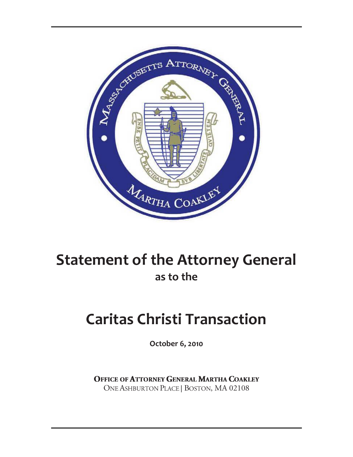

# **Statement of the Attorney General as to the**

# **Caritas Christi Transaction**

**October 6, 2010**

**OFFICE OF ATTORNEY GENERAL MARTHA COAKLEY** ONE ASHBURTON PLACE | BOSTON, MA 02108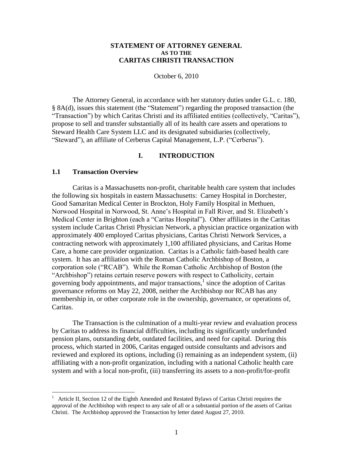#### **STATEMENT OF ATTORNEY GENERAL AS TO THE CARITAS CHRISTI TRANSACTION**

October 6, 2010

The Attorney General, in accordance with her statutory duties under G.L. c. 180, § 8A(d), issues this statement (the "Statement") regarding the proposed transaction (the "Transaction") by which Caritas Christi and its affiliated entities (collectively, "Caritas"), propose to sell and transfer substantially all of its health care assets and operations to Steward Health Care System LLC and its designated subsidiaries (collectively, "Steward"), an affiliate of Cerberus Capital Management, L.P. ("Cerberus").

#### **I. INTRODUCTION**

#### **1.1 Transaction Overview**

 $\overline{a}$ 

Caritas is a Massachusetts non-profit, charitable health care system that includes the following six hospitals in eastern Massachusetts: Carney Hospital in Dorchester, Good Samaritan Medical Center in Brockton, Holy Family Hospital in Methuen, Norwood Hospital in Norwood, St. Anne's Hospital in Fall River, and St. Elizabeth's Medical Center in Brighton (each a "Caritas Hospital"). Other affiliates in the Caritas system include Caritas Christi Physician Network, a physician practice organization with approximately 400 employed Caritas physicians, Caritas Christi Network Services, a contracting network with approximately 1,100 affiliated physicians, and Caritas Home Care, a home care provider organization. Caritas is a Catholic faith-based health care system. It has an affiliation with the Roman Catholic Archbishop of Boston, a corporation sole ("RCAB"). While the Roman Catholic Archbishop of Boston (the "Archbishop") retains certain reserve powers with respect to Catholicity, certain governing body appointments, and major transactions, $\frac{1}{1}$  since the adoption of Caritas governance reforms on May 22, 2008, neither the Archbishop nor RCAB has any membership in, or other corporate role in the ownership, governance, or operations of, Caritas.

The Transaction is the culmination of a multi-year review and evaluation process by Caritas to address its financial difficulties, including its significantly underfunded pension plans, outstanding debt, outdated facilities, and need for capital. During this process, which started in 2006, Caritas engaged outside consultants and advisors and reviewed and explored its options, including (i) remaining as an independent system, (ii) affiliating with a non-profit organization, including with a national Catholic health care system and with a local non-profit, (iii) transferring its assets to a non-profit/for-profit

<sup>1</sup> Article II, Section 12 of the Eighth Amended and Restated Bylaws of Caritas Christi requires the approval of the Archbishop with respect to any sale of all or a substantial portion of the assets of Caritas Christi. The Archbishop approved the Transaction by letter dated August 27, 2010.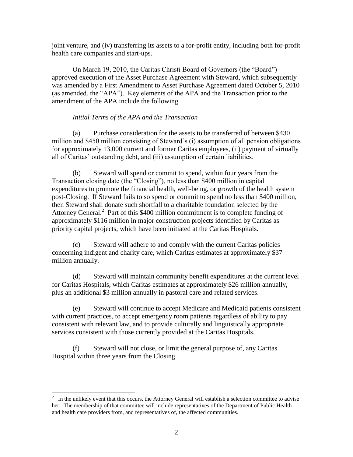joint venture, and (iv) transferring its assets to a for-profit entity, including both for-profit health care companies and start-ups.

On March 19, 2010, the Caritas Christi Board of Governors (the "Board") approved execution of the Asset Purchase Agreement with Steward, which subsequently was amended by a First Amendment to Asset Purchase Agreement dated October 5, 2010 (as amended, the "APA"). Key elements of the APA and the Transaction prior to the amendment of the APA include the following.

#### *Initial Terms of the APA and the Transaction*

(a) Purchase consideration for the assets to be transferred of between \$430 million and \$450 million consisting of Steward's (i) assumption of all pension obligations for approximately 13,000 current and former Caritas employees, (ii) payment of virtually all of Caritas' outstanding debt, and (iii) assumption of certain liabilities.

(b) Steward will spend or commit to spend, within four years from the Transaction closing date (the "Closing"), no less than \$400 million in capital expenditures to promote the financial health, well-being, or growth of the health system post-Closing. If Steward fails to so spend or commit to spend no less than \$400 million, then Steward shall donate such shortfall to a charitable foundation selected by the Attorney General. 2 Part of this \$400 million commitment is to complete funding of approximately \$116 million in major construction projects identified by Caritas as priority capital projects, which have been initiated at the Caritas Hospitals.

(c) Steward will adhere to and comply with the current Caritas policies concerning indigent and charity care, which Caritas estimates at approximately \$37 million annually.

(d) Steward will maintain community benefit expenditures at the current level for Caritas Hospitals, which Caritas estimates at approximately \$26 million annually, plus an additional \$3 million annually in pastoral care and related services.

(e) Steward will continue to accept Medicare and Medicaid patients consistent with current practices, to accept emergency room patients regardless of ability to pay consistent with relevant law, and to provide culturally and linguistically appropriate services consistent with those currently provided at the Caritas Hospitals.

(f) Steward will not close, or limit the general purpose of, any Caritas Hospital within three years from the Closing.

 $\overline{a}$ 

 $2\;\;$  In the unlikely event that this occurs, the Attorney General will establish a selection committee to advise her. The membership of that committee will include representatives of the Department of Public Health and health care providers from, and representatives of, the affected communities.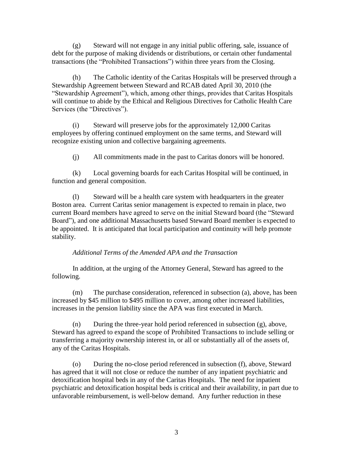(g) Steward will not engage in any initial public offering, sale, issuance of debt for the purpose of making dividends or distributions, or certain other fundamental transactions (the "Prohibited Transactions") within three years from the Closing.

(h) The Catholic identity of the Caritas Hospitals will be preserved through a Stewardship Agreement between Steward and RCAB dated April 30, 2010 (the "Stewardship Agreement"), which, among other things, provides that Caritas Hospitals will continue to abide by the Ethical and Religious Directives for Catholic Health Care Services (the "Directives").

(i) Steward will preserve jobs for the approximately 12,000 Caritas employees by offering continued employment on the same terms, and Steward will recognize existing union and collective bargaining agreements.

(j) All commitments made in the past to Caritas donors will be honored.

(k) Local governing boards for each Caritas Hospital will be continued, in function and general composition.

(l) Steward will be a health care system with headquarters in the greater Boston area. Current Caritas senior management is expected to remain in place, two current Board members have agreed to serve on the initial Steward board (the "Steward Board"), and one additional Massachusetts based Steward Board member is expected to be appointed. It is anticipated that local participation and continuity will help promote stability.

### *Additional Terms of the Amended APA and the Transaction*

In addition, at the urging of the Attorney General, Steward has agreed to the following.

(m) The purchase consideration, referenced in subsection (a), above, has been increased by \$45 million to \$495 million to cover, among other increased liabilities, increases in the pension liability since the APA was first executed in March.

(n) During the three-year hold period referenced in subsection (g), above, Steward has agreed to expand the scope of Prohibited Transactions to include selling or transferring a majority ownership interest in, or all or substantially all of the assets of, any of the Caritas Hospitals.

(o) During the no-close period referenced in subsection (f), above, Steward has agreed that it will not close or reduce the number of any inpatient psychiatric and detoxification hospital beds in any of the Caritas Hospitals. The need for inpatient psychiatric and detoxification hospital beds is critical and their availability, in part due to unfavorable reimbursement, is well-below demand. Any further reduction in these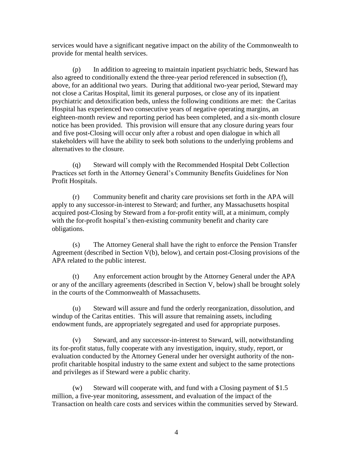services would have a significant negative impact on the ability of the Commonwealth to provide for mental health services.

(p) In addition to agreeing to maintain inpatient psychiatric beds, Steward has also agreed to conditionally extend the three-year period referenced in subsection (f), above, for an additional two years. During that additional two-year period, Steward may not close a Caritas Hospital, limit its general purposes, or close any of its inpatient psychiatric and detoxification beds, unless the following conditions are met: the Caritas Hospital has experienced two consecutive years of negative operating margins, an eighteen-month review and reporting period has been completed, and a six-month closure notice has been provided. This provision will ensure that any closure during years four and five post-Closing will occur only after a robust and open dialogue in which all stakeholders will have the ability to seek both solutions to the underlying problems and alternatives to the closure.

(q) Steward will comply with the Recommended Hospital Debt Collection Practices set forth in the Attorney General's Community Benefits Guidelines for Non Profit Hospitals.

(r) Community benefit and charity care provisions set forth in the APA will apply to any successor-in-interest to Steward; and further, any Massachusetts hospital acquired post-Closing by Steward from a for-profit entity will, at a minimum, comply with the for-profit hospital's then-existing community benefit and charity care obligations.

(s) The Attorney General shall have the right to enforce the Pension Transfer Agreement (described in Section V(b), below), and certain post-Closing provisions of the APA related to the public interest.

(t) Any enforcement action brought by the Attorney General under the APA or any of the ancillary agreements (described in Section V, below) shall be brought solely in the courts of the Commonwealth of Massachusetts.

(u) Steward will assure and fund the orderly reorganization, dissolution, and windup of the Caritas entities. This will assure that remaining assets, including endowment funds, are appropriately segregated and used for appropriate purposes.

(v) Steward, and any successor-in-interest to Steward, will, notwithstanding its for-profit status, fully cooperate with any investigation, inquiry, study, report, or evaluation conducted by the Attorney General under her oversight authority of the nonprofit charitable hospital industry to the same extent and subject to the same protections and privileges as if Steward were a public charity.

Steward will cooperate with, and fund with a Closing payment of  $$1.5$ million, a five-year monitoring, assessment, and evaluation of the impact of the Transaction on health care costs and services within the communities served by Steward.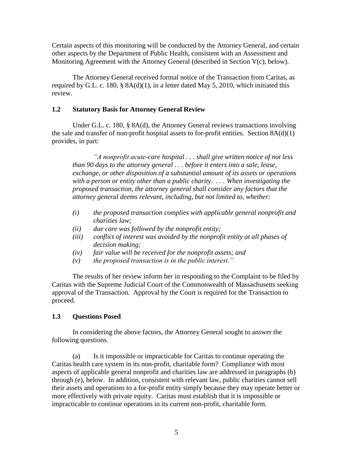Certain aspects of this monitoring will be conducted by the Attorney General, and certain other aspects by the Department of Public Health, consistent with an Assessment and Monitoring Agreement with the Attorney General (described in Section V(c), below).

The Attorney General received formal notice of the Transaction from Caritas, as required by G.L. c. 180,  $\S$  8A(d)(1), in a letter dated May 5, 2010, which initiated this review.

#### **1.2 Statutory Basis for Attorney General Review**

Under G.L. c. 180, § 8A(d), the Attorney General reviews transactions involving the sale and transfer of non-profit hospital assets to for-profit entities. Section 8A(d)(1) provides, in part:

*"A nonprofit acute-care hospital . . . shall give written notice of not less than 90 days to the attorney general . . . before it enters into a sale, lease, exchange, or other disposition of a substantial amount of its assets or operations with a person or entity other than a public charity. . . . When investigating the proposed transaction, the attorney general shall consider any factors that the attorney general deems relevant, including, but not limited to, whether:*

- *(i) the proposed transaction complies with applicable general nonprofit and charities law;*
- *(ii) due care was followed by the nonprofit entity;*
- *(iii) conflict of interest was avoided by the nonprofit entity at all phases of decision making;*
- *(iv) fair value will be received for the nonprofit assets; and*
- *(v) the proposed transaction is in the public interest."*

The results of her review inform her in responding to the Complaint to be filed by Caritas with the Supreme Judicial Court of the Commonwealth of Massachusetts seeking approval of the Transaction. Approval by the Court is required for the Transaction to proceed.

### **1.3 Questions Posed**

In considering the above factors, the Attorney General sought to answer the following questions.

(a) Is it impossible or impracticable for Caritas to continue operating the Caritas health care system in its non-profit, charitable form? Compliance with most aspects of applicable general nonprofit and charities law are addressed in paragraphs (b) through (e), below. In addition, consistent with relevant law, public charities cannot sell their assets and operations to a for-profit entity simply because they may operate better or more effectively with private equity. Caritas must establish that it is impossible or impracticable to continue operations in its current non-profit, charitable form.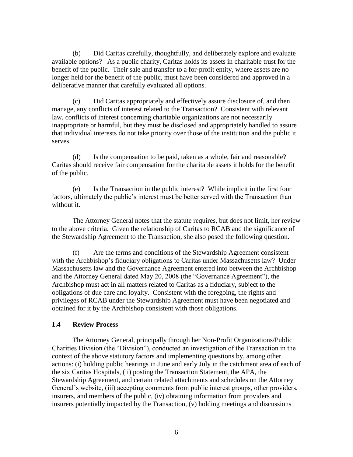(b) Did Caritas carefully, thoughtfully, and deliberately explore and evaluate available options? As a public charity, Caritas holds its assets in charitable trust for the benefit of the public. Their sale and transfer to a for-profit entity, where assets are no longer held for the benefit of the public, must have been considered and approved in a deliberative manner that carefully evaluated all options.

(c) Did Caritas appropriately and effectively assure disclosure of, and then manage, any conflicts of interest related to the Transaction? Consistent with relevant law, conflicts of interest concerning charitable organizations are not necessarily inappropriate or harmful, but they must be disclosed and appropriately handled to assure that individual interests do not take priority over those of the institution and the public it serves.

(d) Is the compensation to be paid, taken as a whole, fair and reasonable? Caritas should receive fair compensation for the charitable assets it holds for the benefit of the public.

(e) Is the Transaction in the public interest? While implicit in the first four factors, ultimately the public's interest must be better served with the Transaction than without it.

The Attorney General notes that the statute requires, but does not limit, her review to the above criteria. Given the relationship of Caritas to RCAB and the significance of the Stewardship Agreement to the Transaction, she also posed the following question.

(f) Are the terms and conditions of the Stewardship Agreement consistent with the Archbishop's fiduciary obligations to Caritas under Massachusetts law? Under Massachusetts law and the Governance Agreement entered into between the Archbishop and the Attorney General dated May 20, 2008 (the "Governance Agreement"), the Archbishop must act in all matters related to Caritas as a fiduciary, subject to the obligations of due care and loyalty. Consistent with the foregoing, the rights and privileges of RCAB under the Stewardship Agreement must have been negotiated and obtained for it by the Archbishop consistent with those obligations.

#### **1.4 Review Process**

The Attorney General, principally through her Non-Profit Organizations/Public Charities Division (the "Division"), conducted an investigation of the Transaction in the context of the above statutory factors and implementing questions by, among other actions: (i) holding public hearings in June and early July in the catchment area of each of the six Caritas Hospitals, (ii) posting the Transaction Statement, the APA, the Stewardship Agreement, and certain related attachments and schedules on the Attorney General's website, (iii) accepting comments from public interest groups, other providers, insurers, and members of the public, (iv) obtaining information from providers and insurers potentially impacted by the Transaction, (v) holding meetings and discussions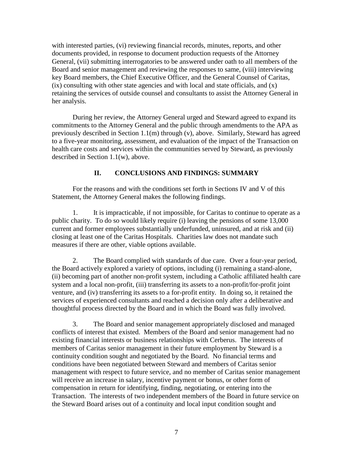with interested parties, (vi) reviewing financial records, minutes, reports, and other documents provided, in response to document production requests of the Attorney General, (vii) submitting interrogatories to be answered under oath to all members of the Board and senior management and reviewing the responses to same, (viii) interviewing key Board members, the Chief Executive Officer, and the General Counsel of Caritas, (ix) consulting with other state agencies and with local and state officials, and (x) retaining the services of outside counsel and consultants to assist the Attorney General in her analysis.

During her review, the Attorney General urged and Steward agreed to expand its commitments to the Attorney General and the public through amendments to the APA as previously described in Section 1.1(m) through (v), above. Similarly, Steward has agreed to a five-year monitoring, assessment, and evaluation of the impact of the Transaction on health care costs and services within the communities served by Steward, as previously described in Section 1.1(w), above.

#### **II. CONCLUSIONS AND FINDINGS: SUMMARY**

For the reasons and with the conditions set forth in Sections IV and V of this Statement, the Attorney General makes the following findings.

1. It is impracticable, if not impossible, for Caritas to continue to operate as a public charity. To do so would likely require (i) leaving the pensions of some 13,000 current and former employees substantially underfunded, uninsured, and at risk and (ii) closing at least one of the Caritas Hospitals. Charities law does not mandate such measures if there are other, viable options available.

2. The Board complied with standards of due care. Over a four-year period, the Board actively explored a variety of options, including (i) remaining a stand-alone, (ii) becoming part of another non-profit system, including a Catholic affiliated health care system and a local non-profit, (iii) transferring its assets to a non-profit/for-profit joint venture, and (iv) transferring its assets to a for-profit entity. In doing so, it retained the services of experienced consultants and reached a decision only after a deliberative and thoughtful process directed by the Board and in which the Board was fully involved.

3. The Board and senior management appropriately disclosed and managed conflicts of interest that existed. Members of the Board and senior management had no existing financial interests or business relationships with Cerberus. The interests of members of Caritas senior management in their future employment by Steward is a continuity condition sought and negotiated by the Board. No financial terms and conditions have been negotiated between Steward and members of Caritas senior management with respect to future service, and no member of Caritas senior management will receive an increase in salary, incentive payment or bonus, or other form of compensation in return for identifying, finding, negotiating, or entering into the Transaction. The interests of two independent members of the Board in future service on the Steward Board arises out of a continuity and local input condition sought and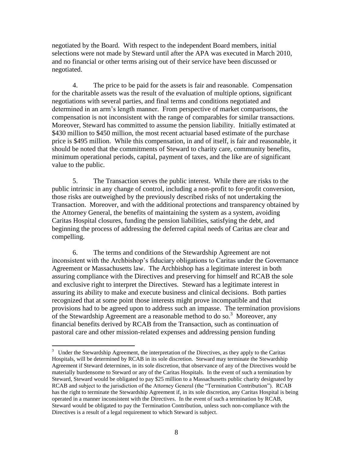negotiated by the Board. With respect to the independent Board members, initial selections were not made by Steward until after the APA was executed in March 2010, and no financial or other terms arising out of their service have been discussed or negotiated.

4. The price to be paid for the assets is fair and reasonable. Compensation for the charitable assets was the result of the evaluation of multiple options, significant negotiations with several parties, and final terms and conditions negotiated and determined in an arm's length manner. From perspective of market comparisons, the compensation is not inconsistent with the range of comparables for similar transactions. Moreover, Steward has committed to assume the pension liability. Initially estimated at \$430 million to \$450 million, the most recent actuarial based estimate of the purchase price is \$495 million. While this compensation, in and of itself, is fair and reasonable, it should be noted that the commitments of Steward to charity care, community benefits, minimum operational periods, capital, payment of taxes, and the like are of significant value to the public.

5. The Transaction serves the public interest. While there are risks to the public intrinsic in any change of control, including a non-profit to for-profit conversion, those risks are outweighed by the previously described risks of not undertaking the Transaction. Moreover, and with the additional protections and transparency obtained by the Attorney General, the benefits of maintaining the system as a system, avoiding Caritas Hospital closures, funding the pension liabilities, satisfying the debt, and beginning the process of addressing the deferred capital needs of Caritas are clear and compelling.

6. The terms and conditions of the Stewardship Agreement are not inconsistent with the Archbishop's fiduciary obligations to Caritas under the Governance Agreement or Massachusetts law. The Archbishop has a legitimate interest in both assuring compliance with the Directives and preserving for himself and RCAB the sole and exclusive right to interpret the Directives. Steward has a legitimate interest in assuring its ability to make and execute business and clinical decisions. Both parties recognized that at some point those interests might prove incompatible and that provisions had to be agreed upon to address such an impasse. The termination provisions of the Stewardship Agreement are a reasonable method to do so.<sup>3</sup> Moreover, any financial benefits derived by RCAB from the Transaction, such as continuation of pastoral care and other mission-related expenses and addressing pension funding

 $\overline{a}$ 

<sup>&</sup>lt;sup>3</sup> Under the Stewardship Agreement, the interpretation of the Directives, as they apply to the Caritas Hospitals, will be determined by RCAB in its sole discretion. Steward may terminate the Stewardship Agreement if Steward determines, in its sole discretion, that observance of any of the Directives would be materially burdensome to Steward or any of the Caritas Hospitals. In the event of such a termination by Steward, Steward would be obligated to pay \$25 million to a Massachusetts public charity designated by RCAB and subject to the jurisdiction of the Attorney General (the "Termination Contribution"). RCAB has the right to terminate the Stewardship Agreement if, in its sole discretion, any Caritas Hospital is being operated in a manner inconsistent with the Directives. In the event of such a termination by RCAB, Steward would be obligated to pay the Termination Contribution, unless such non-compliance with the Directives is a result of a legal requirement to which Steward is subject.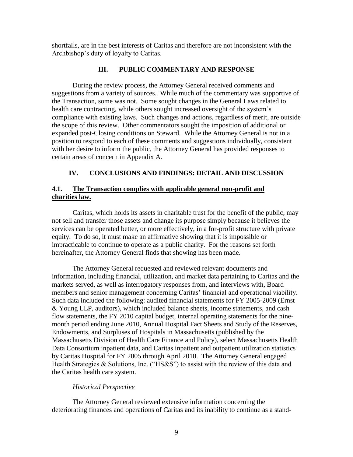shortfalls, are in the best interests of Caritas and therefore are not inconsistent with the Archbishop's duty of loyalty to Caritas.

#### **III. PUBLIC COMMENTARY AND RESPONSE**

During the review process, the Attorney General received comments and suggestions from a variety of sources. While much of the commentary was supportive of the Transaction, some was not. Some sought changes in the General Laws related to health care contracting, while others sought increased oversight of the system's compliance with existing laws. Such changes and actions, regardless of merit, are outside the scope of this review. Other commentators sought the imposition of additional or expanded post-Closing conditions on Steward. While the Attorney General is not in a position to respond to each of these comments and suggestions individually, consistent with her desire to inform the public, the Attorney General has provided responses to certain areas of concern in Appendix A.

### **IV. CONCLUSIONS AND FINDINGS: DETAIL AND DISCUSSION**

### **4.1. The Transaction complies with applicable general non-profit and charities law.**

Caritas, which holds its assets in charitable trust for the benefit of the public, may not sell and transfer those assets and change its purpose simply because it believes the services can be operated better, or more effectively, in a for-profit structure with private equity. To do so, it must make an affirmative showing that it is impossible or impracticable to continue to operate as a public charity. For the reasons set forth hereinafter, the Attorney General finds that showing has been made.

The Attorney General requested and reviewed relevant documents and information, including financial, utilization, and market data pertaining to Caritas and the markets served, as well as interrogatory responses from, and interviews with, Board members and senior management concerning Caritas' financial and operational viability. Such data included the following: audited financial statements for FY 2005-2009 (Ernst & Young LLP, auditors), which included balance sheets, income statements, and cash flow statements, the FY 2010 capital budget, internal operating statements for the ninemonth period ending June 2010, Annual Hospital Fact Sheets and Study of the Reserves, Endowments, and Surpluses of Hospitals in Massachusetts (published by the Massachusetts Division of Health Care Finance and Policy), select Massachusetts Health Data Consortium inpatient data, and Caritas inpatient and outpatient utilization statistics by Caritas Hospital for FY 2005 through April 2010. The Attorney General engaged Health Strategies & Solutions, Inc. ("HS&S") to assist with the review of this data and the Caritas health care system.

### *Historical Perspective*

The Attorney General reviewed extensive information concerning the deteriorating finances and operations of Caritas and its inability to continue as a stand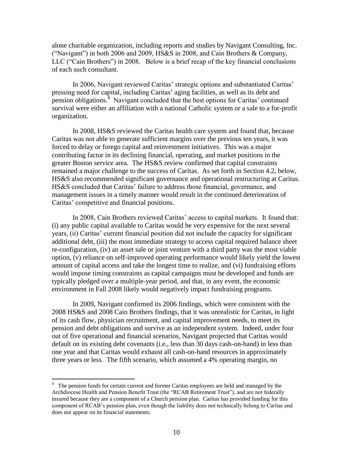alone charitable organization, including reports and studies by Navigant Consulting, Inc. ("Navigant") in both 2006 and 2009, HS&S in 2008, and Cain Brothers & Company, LLC ("Cain Brothers") in 2008. Below is a brief recap of the key financial conclusions of each such consultant.

In 2006, Navigant reviewed Caritas' strategic options and substantiated Caritas' pressing need for capital, including Caritas' aging facilities, as well as its debt and pension obligations.<sup>4</sup> Navigant concluded that the best options for Caritas' continued survival were either an affiliation with a national Catholic system or a sale to a for-profit organization.

In 2008, HS&S reviewed the Caritas health care system and found that, because Caritas was not able to generate sufficient margins over the previous ten years, it was forced to delay or forego capital and reinvestment initiatives. This was a major contributing factor in its declining financial, operating, and market positions in the greater Boston service area. The HS&S review confirmed that capital constraints remained a major challenge to the success of Caritas. As set forth in Section 4.2, below, HS&S also recommended significant governance and operational restructuring at Caritas. HS&S concluded that Caritas' failure to address those financial, governance, and management issues in a timely manner would result in the continued deterioration of Caritas' competitive and financial positions.

In 2008, Cain Brothers reviewed Caritas' access to capital markets. It found that: (i) any public capital available to Caritas would be very expensive for the next several years, (ii) Caritas' current financial position did not include the capacity for significant additional debt, (iii) the most immediate strategy to access capital required balance sheet re-configuration, (iv) an asset sale or joint venture with a third party was the most viable option, (v) reliance on self-improved operating performance would likely yield the lowest amount of capital access and take the longest time to realize, and (vi) fundraising efforts would impose timing constraints as capital campaigns must be developed and funds are typically pledged over a multiple-year period, and that, in any event, the economic environment in Fall 2008 likely would negatively impact fundraising programs.

In 2009, Navigant confirmed its 2006 findings, which were consistent with the 2008 HS&S and 2008 Cain Brothers findings, that it was unrealistic for Caritas, in light of its cash flow, physician recruitment, and capital improvement needs, to meet its pension and debt obligations and survive as an independent system. Indeed, under four out of five operational and financial scenarios, Navigant projected that Caritas would default on its existing debt covenants (i.e., less than 30 days cash-on-hand) in less than one year and that Caritas would exhaust all cash-on-hand resources in approximately three years or less. The fifth scenario, which assumed a 4% operating margin, no

<sup>&</sup>lt;sup>4</sup> The pension funds for certain current and former Caritas employees are held and managed by the Archdiocese Health and Pension Benefit Trust (the "RCAB Retirement Trust"), and are not federally insured because they are a component of a Church pension plan. Caritas has provided funding for this component of RCAB's pension plan, even though the liability does not technically belong to Caritas and does not appear on its financial statements.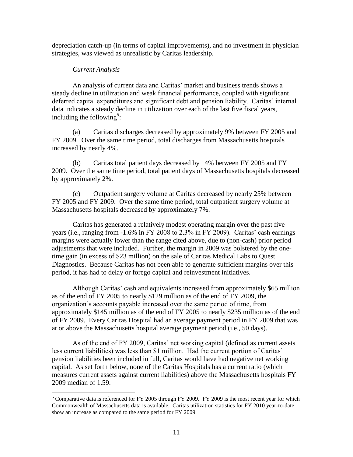depreciation catch-up (in terms of capital improvements), and no investment in physician strategies, was viewed as unrealistic by Caritas leadership.

### *Current Analysis*

 $\overline{a}$ 

An analysis of current data and Caritas' market and business trends shows a steady decline in utilization and weak financial performance, coupled with significant deferred capital expenditures and significant debt and pension liability. Caritas' internal data indicates a steady decline in utilization over each of the last five fiscal years, including the following<sup>5</sup>:

(a) Caritas discharges decreased by approximately 9% between FY 2005 and FY 2009. Over the same time period, total discharges from Massachusetts hospitals increased by nearly 4%.

(b) Caritas total patient days decreased by 14% between FY 2005 and FY 2009. Over the same time period, total patient days of Massachusetts hospitals decreased by approximately 2%.

(c) Outpatient surgery volume at Caritas decreased by nearly 25% between FY 2005 and FY 2009. Over the same time period, total outpatient surgery volume at Massachusetts hospitals decreased by approximately 7%.

Caritas has generated a relatively modest operating margin over the past five years (i.e., ranging from -1.6% in FY 2008 to 2.3% in FY 2009). Caritas' cash earnings margins were actually lower than the range cited above, due to (non-cash) prior period adjustments that were included. Further, the margin in 2009 was bolstered by the onetime gain (in excess of \$23 million) on the sale of Caritas Medical Labs to Quest Diagnostics. Because Caritas has not been able to generate sufficient margins over this period, it has had to delay or forego capital and reinvestment initiatives.

Although Caritas' cash and equivalents increased from approximately \$65 million as of the end of FY 2005 to nearly \$129 million as of the end of FY 2009, the organization's accounts payable increased over the same period of time, from approximately \$145 million as of the end of FY 2005 to nearly \$235 million as of the end of FY 2009. Every Caritas Hospital had an average payment period in FY 2009 that was at or above the Massachusetts hospital average payment period (i.e., 50 days).

As of the end of FY 2009, Caritas' net working capital (defined as current assets less current liabilities) was less than \$1 million. Had the current portion of Caritas' pension liabilities been included in full, Caritas would have had negative net working capital. As set forth below, none of the Caritas Hospitals has a current ratio (which measures current assets against current liabilities) above the Massachusetts hospitals FY 2009 median of 1.59.

<sup>&</sup>lt;sup>5</sup> Comparative data is referenced for FY 2005 through FY 2009. FY 2009 is the most recent year for which Commonwealth of Massachusetts data is available. Caritas utilization statistics for FY 2010 year-to-date show an increase as compared to the same period for FY 2009.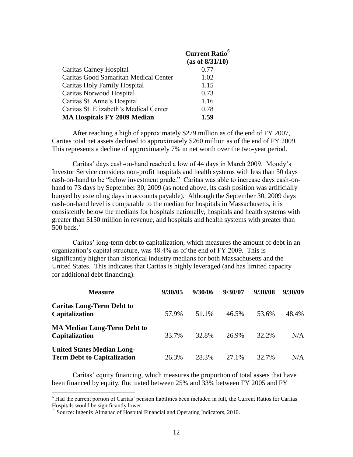|                                        | <b>Current Ratio<sup>6</sup></b><br>(as of 8/31/10) |
|----------------------------------------|-----------------------------------------------------|
| <b>Caritas Carney Hospital</b>         | 0.77                                                |
| Caritas Good Samaritan Medical Center  | 1.02                                                |
| Caritas Holy Family Hospital           | 1.15                                                |
| Caritas Norwood Hospital               | 0.73                                                |
| Caritas St. Anne's Hospital            | 1.16                                                |
| Caritas St. Elizabeth's Medical Center | 0.78                                                |
| <b>MA Hospitals FY 2009 Median</b>     | 1.59                                                |

After reaching a high of approximately \$279 million as of the end of FY 2007, Caritas total net assets declined to approximately \$260 million as of the end of FY 2009. This represents a decline of approximately 7% in net worth over the two-year period.

Caritas' days cash-on-hand reached a low of 44 days in March 2009. Moody's Investor Service considers non-profit hospitals and health systems with less than 50 days cash-on-hand to be "below investment grade." Caritas was able to increase days cash-onhand to 73 days by September 30, 2009 (as noted above, its cash position was artificially buoyed by extending days in accounts payable). Although the September 30, 2009 days cash-on-hand level is comparable to the median for hospitals in Massachusetts, it is consistently below the medians for hospitals nationally, hospitals and health systems with greater than \$150 million in revenue, and hospitals and health systems with greater than  $500$  beds.<sup>7</sup>

Caritas' long-term debt to capitalization, which measures the amount of debt in an organization's capital structure, was 48.4% as of the end of FY 2009. This is significantly higher than historical industry medians for both Massachusetts and the United States. This indicates that Caritas is highly leveraged (and has limited capacity for additional debt financing).

| <b>Measure</b>                                                          | 9/30/05 | 9/30/06 | 9/30/07 | 9/30/08 | 9/30/09 |
|-------------------------------------------------------------------------|---------|---------|---------|---------|---------|
| <b>Caritas Long-Term Debt to</b><br>Capitalization                      | 57.9%   | 51.1%   | 46.5%   | 53.6%   | 48.4%   |
| <b>MA Median Long-Term Debt to</b><br>Capitalization                    | 33.7%   | 32.8%   | 26.9%   | 32.2%   | N/A     |
| <b>United States Median Long-</b><br><b>Term Debt to Capitalization</b> | 26.3%   | 28.3%   | 27.1%   | 32.7%   | N/A     |

Caritas' equity financing, which measures the proportion of total assets that have been financed by equity, fluctuated between 25% and 33% between FY 2005 and FY

 $\overline{a}$ 

<sup>&</sup>lt;sup>6</sup> Had the current portion of Caritas' pension liabilities been included in full, the Current Ratios for Caritas Hospitals would be significantly lower.

<sup>&</sup>lt;sup>7</sup> Source: Ingenix Almanac of Hospital Financial and Operating Indicators, 2010.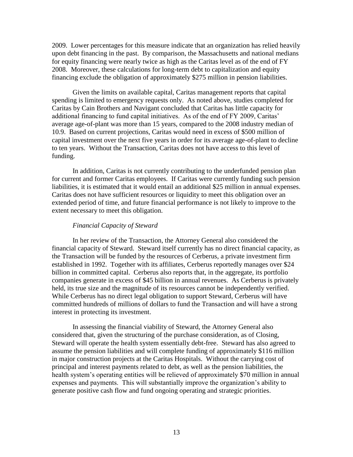2009. Lower percentages for this measure indicate that an organization has relied heavily upon debt financing in the past. By comparison, the Massachusetts and national medians for equity financing were nearly twice as high as the Caritas level as of the end of FY 2008. Moreover, these calculations for long-term debt to capitalization and equity financing exclude the obligation of approximately \$275 million in pension liabilities.

Given the limits on available capital, Caritas management reports that capital spending is limited to emergency requests only. As noted above, studies completed for Caritas by Cain Brothers and Navigant concluded that Caritas has little capacity for additional financing to fund capital initiatives. As of the end of FY 2009, Caritas' average age-of-plant was more than 15 years, compared to the 2008 industry median of 10.9. Based on current projections, Caritas would need in excess of \$500 million of capital investment over the next five years in order for its average age-of-plant to decline to ten years. Without the Transaction, Caritas does not have access to this level of funding.

In addition, Caritas is not currently contributing to the underfunded pension plan for current and former Caritas employees. If Caritas were currently funding such pension liabilities, it is estimated that it would entail an additional \$25 million in annual expenses. Caritas does not have sufficient resources or liquidity to meet this obligation over an extended period of time, and future financial performance is not likely to improve to the extent necessary to meet this obligation.

#### *Financial Capacity of Steward*

In her review of the Transaction, the Attorney General also considered the financial capacity of Steward. Steward itself currently has no direct financial capacity, as the Transaction will be funded by the resources of Cerberus, a private investment firm established in 1992. Together with its affiliates, Cerberus reportedly manages over \$24 billion in committed capital. Cerberus also reports that, in the aggregate, its portfolio companies generate in excess of \$45 billion in annual revenues. As Cerberus is privately held, its true size and the magnitude of its resources cannot be independently verified. While Cerberus has no direct legal obligation to support Steward, Cerberus will have committed hundreds of millions of dollars to fund the Transaction and will have a strong interest in protecting its investment.

In assessing the financial viability of Steward, the Attorney General also considered that, given the structuring of the purchase consideration, as of Closing, Steward will operate the health system essentially debt-free. Steward has also agreed to assume the pension liabilities and will complete funding of approximately \$116 million in major construction projects at the Caritas Hospitals. Without the carrying cost of principal and interest payments related to debt, as well as the pension liabilities, the health system's operating entities will be relieved of approximately \$70 million in annual expenses and payments. This will substantially improve the organization's ability to generate positive cash flow and fund ongoing operating and strategic priorities.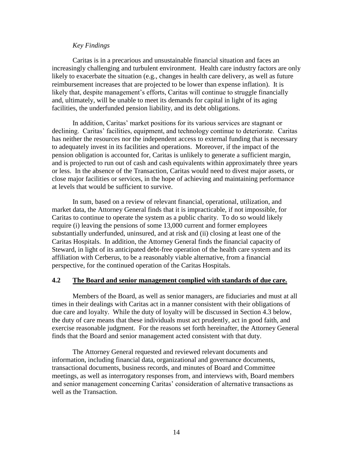#### *Key Findings*

Caritas is in a precarious and unsustainable financial situation and faces an increasingly challenging and turbulent environment. Health care industry factors are only likely to exacerbate the situation (e.g., changes in health care delivery, as well as future reimbursement increases that are projected to be lower than expense inflation). It is likely that, despite management's efforts, Caritas will continue to struggle financially and, ultimately, will be unable to meet its demands for capital in light of its aging facilities, the underfunded pension liability, and its debt obligations.

In addition, Caritas' market positions for its various services are stagnant or declining. Caritas' facilities, equipment, and technology continue to deteriorate. Caritas has neither the resources nor the independent access to external funding that is necessary to adequately invest in its facilities and operations. Moreover, if the impact of the pension obligation is accounted for, Caritas is unlikely to generate a sufficient margin, and is projected to run out of cash and cash equivalents within approximately three years or less. In the absence of the Transaction, Caritas would need to divest major assets, or close major facilities or services, in the hope of achieving and maintaining performance at levels that would be sufficient to survive.

In sum, based on a review of relevant financial, operational, utilization, and market data, the Attorney General finds that it is impracticable, if not impossible, for Caritas to continue to operate the system as a public charity. To do so would likely require (i) leaving the pensions of some 13,000 current and former employees substantially underfunded, uninsured, and at risk and (ii) closing at least one of the Caritas Hospitals. In addition, the Attorney General finds the financial capacity of Steward, in light of its anticipated debt-free operation of the health care system and its affiliation with Cerberus, to be a reasonably viable alternative, from a financial perspective, for the continued operation of the Caritas Hospitals.

#### **4.2 The Board and senior management complied with standards of due care.**

Members of the Board, as well as senior managers, are fiduciaries and must at all times in their dealings with Caritas act in a manner consistent with their obligations of due care and loyalty. While the duty of loyalty will be discussed in Section 4.3 below, the duty of care means that these individuals must act prudently, act in good faith, and exercise reasonable judgment. For the reasons set forth hereinafter, the Attorney General finds that the Board and senior management acted consistent with that duty.

The Attorney General requested and reviewed relevant documents and information, including financial data, organizational and governance documents, transactional documents, business records, and minutes of Board and Committee meetings, as well as interrogatory responses from, and interviews with, Board members and senior management concerning Caritas' consideration of alternative transactions as well as the Transaction.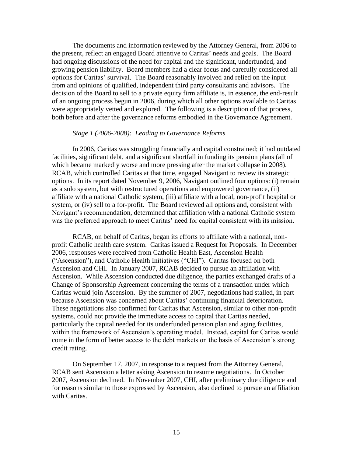The documents and information reviewed by the Attorney General, from 2006 to the present, reflect an engaged Board attentive to Caritas' needs and goals. The Board had ongoing discussions of the need for capital and the significant, underfunded, and growing pension liability. Board members had a clear focus and carefully considered all options for Caritas' survival. The Board reasonably involved and relied on the input from and opinions of qualified, independent third party consultants and advisors. The decision of the Board to sell to a private equity firm affiliate is, in essence, the end-result of an ongoing process begun in 2006, during which all other options available to Caritas were appropriately vetted and explored. The following is a description of that process, both before and after the governance reforms embodied in the Governance Agreement.

#### *Stage 1 (2006-2008): Leading to Governance Reforms*

In 2006, Caritas was struggling financially and capital constrained; it had outdated facilities, significant debt, and a significant shortfall in funding its pension plans (all of which became markedly worse and more pressing after the market collapse in 2008). RCAB, which controlled Caritas at that time, engaged Navigant to review its strategic options. In its report dated November 9, 2006, Navigant outlined four options: (i) remain as a solo system, but with restructured operations and empowered governance, (ii) affiliate with a national Catholic system, (iii) affiliate with a local, non-profit hospital or system, or (iv) sell to a for-profit. The Board reviewed all options and, consistent with Navigant's recommendation, determined that affiliation with a national Catholic system was the preferred approach to meet Caritas' need for capital consistent with its mission.

RCAB, on behalf of Caritas, began its efforts to affiliate with a national, nonprofit Catholic health care system. Caritas issued a Request for Proposals. In December 2006, responses were received from Catholic Health East, Ascension Health ("Ascension"), and Catholic Health Initiatives ("CHI"). Caritas focused on both Ascension and CHI. In January 2007, RCAB decided to pursue an affiliation with Ascension. While Ascension conducted due diligence, the parties exchanged drafts of a Change of Sponsorship Agreement concerning the terms of a transaction under which Caritas would join Ascension. By the summer of 2007, negotiations had stalled, in part because Ascension was concerned about Caritas' continuing financial deterioration. These negotiations also confirmed for Caritas that Ascension, similar to other non-profit systems, could not provide the immediate access to capital that Caritas needed, particularly the capital needed for its underfunded pension plan and aging facilities, within the framework of Ascension's operating model. Instead, capital for Caritas would come in the form of better access to the debt markets on the basis of Ascension's strong credit rating.

On September 17, 2007, in response to a request from the Attorney General, RCAB sent Ascension a letter asking Ascension to resume negotiations. In October 2007, Ascension declined. In November 2007, CHI, after preliminary due diligence and for reasons similar to those expressed by Ascension, also declined to pursue an affiliation with Caritas.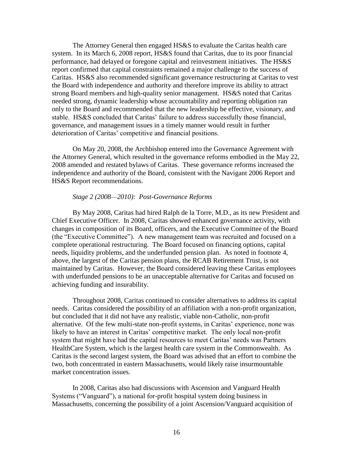The Attorney General then engaged HS&S to evaluate the Caritas health care system. In its March 6, 2008 report, HS&S found that Caritas, due to its poor financial performance, had delayed or foregone capital and reinvestment initiatives. The HS&S report confirmed that capital constraints remained a major challenge to the success of Caritas. HS&S also recommended significant governance restructuring at Caritas to vest the Board with independence and authority and therefore improve its ability to attract strong Board members and high-quality senior management. HS&S noted that Caritas needed strong, dynamic leadership whose accountability and reporting obligation ran only to the Board and recommended that the new leadership be effective, visionary, and stable. HS&S concluded that Caritas' failure to address successfully those financial, governance, and management issues in a timely manner would result in further deterioration of Caritas' competitive and financial positions.

On May 20, 2008, the Archbishop entered into the Governance Agreement with the Attorney General, which resulted in the governance reforms embodied in the May 22, 2008 amended and restated bylaws of Caritas. These governance reforms increased the independence and authority of the Board, consistent with the Navigant 2006 Report and HS&S Report recommendations.

#### *Stage 2 (2008—2010): Post-Governance Reforms*

By May 2008, Caritas had hired Ralph de la Torre, M.D., as its new President and Chief Executive Officer. In 2008, Caritas showed enhanced governance activity, with changes in composition of its Board, officers, and the Executive Committee of the Board (the "Executive Committee"). A new management team was recruited and focused on a complete operational restructuring. The Board focused on financing options, capital needs, liquidity problems, and the underfunded pension plan. As noted in footnote 4, above, the largest of the Caritas pension plans, the RCAB Retirement Trust, is not maintained by Caritas. However, the Board considered leaving these Caritas employees with underfunded pensions to be an unacceptable alternative for Caritas and focused on achieving funding and insurability.

Throughout 2008, Caritas continued to consider alternatives to address its capital needs. Caritas considered the possibility of an affiliation with a non-profit organization, but concluded that it did not have any realistic, viable non-Catholic, non-profit alternative. Of the few multi-state non-profit systems, in Caritas' experience, none was likely to have an interest in Caritas' competitive market. The only local non-profit system that might have had the capital resources to meet Caritas' needs was Partners HealthCare System, which is the largest health care system in the Commonwealth. As Caritas is the second largest system, the Board was advised that an effort to combine the two, both concentrated in eastern Massachusetts, would likely raise insurmountable market concentration issues.

In 2008, Caritas also had discussions with Ascension and Vanguard Health Systems ("Vanguard"), a national for-profit hospital system doing business in Massachusetts, concerning the possibility of a joint Ascension/Vanguard acquisition of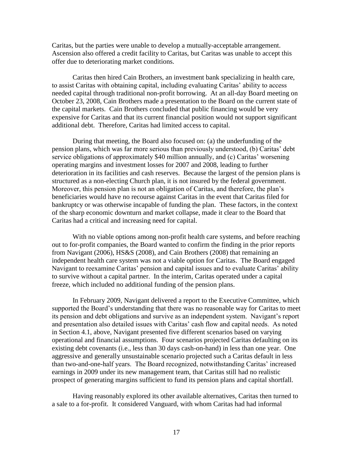Caritas, but the parties were unable to develop a mutually-acceptable arrangement. Ascension also offered a credit facility to Caritas, but Caritas was unable to accept this offer due to deteriorating market conditions.

Caritas then hired Cain Brothers, an investment bank specializing in health care, to assist Caritas with obtaining capital, including evaluating Caritas' ability to access needed capital through traditional non-profit borrowing. At an all-day Board meeting on October 23, 2008, Cain Brothers made a presentation to the Board on the current state of the capital markets. Cain Brothers concluded that public financing would be very expensive for Caritas and that its current financial position would not support significant additional debt. Therefore, Caritas had limited access to capital.

During that meeting, the Board also focused on: (a) the underfunding of the pension plans, which was far more serious than previously understood, (b) Caritas' debt service obligations of approximately \$40 million annually, and (c) Caritas' worsening operating margins and investment losses for 2007 and 2008, leading to further deterioration in its facilities and cash reserves. Because the largest of the pension plans is structured as a non-electing Church plan, it is not insured by the federal government. Moreover, this pension plan is not an obligation of Caritas, and therefore, the plan's beneficiaries would have no recourse against Caritas in the event that Caritas filed for bankruptcy or was otherwise incapable of funding the plan. These factors, in the context of the sharp economic downturn and market collapse, made it clear to the Board that Caritas had a critical and increasing need for capital.

With no viable options among non-profit health care systems, and before reaching out to for-profit companies, the Board wanted to confirm the finding in the prior reports from Navigant (2006), HS&S (2008), and Cain Brothers (2008) that remaining an independent health care system was not a viable option for Caritas. The Board engaged Navigant to reexamine Caritas' pension and capital issues and to evaluate Caritas' ability to survive without a capital partner. In the interim, Caritas operated under a capital freeze, which included no additional funding of the pension plans.

In February 2009, Navigant delivered a report to the Executive Committee, which supported the Board's understanding that there was no reasonable way for Caritas to meet its pension and debt obligations and survive as an independent system. Navigant's report and presentation also detailed issues with Caritas' cash flow and capital needs. As noted in Section 4.1, above, Navigant presented five different scenarios based on varying operational and financial assumptions. Four scenarios projected Caritas defaulting on its existing debt covenants (i.e., less than 30 days cash-on-hand) in less than one year. One aggressive and generally unsustainable scenario projected such a Caritas default in less than two-and-one-half years. The Board recognized, notwithstanding Caritas' increased earnings in 2009 under its new management team, that Caritas still had no realistic prospect of generating margins sufficient to fund its pension plans and capital shortfall.

Having reasonably explored its other available alternatives, Caritas then turned to a sale to a for-profit. It considered Vanguard, with whom Caritas had had informal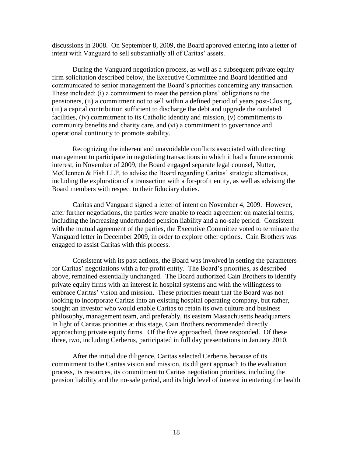discussions in 2008. On September 8, 2009, the Board approved entering into a letter of intent with Vanguard to sell substantially all of Caritas' assets.

During the Vanguard negotiation process, as well as a subsequent private equity firm solicitation described below, the Executive Committee and Board identified and communicated to senior management the Board's priorities concerning any transaction. These included: (i) a commitment to meet the pension plans' obligations to the pensioners, (ii) a commitment not to sell within a defined period of years post-Closing, (iii) a capital contribution sufficient to discharge the debt and upgrade the outdated facilities, (iv) commitment to its Catholic identity and mission, (v) commitments to community benefits and charity care, and (vi) a commitment to governance and operational continuity to promote stability.

Recognizing the inherent and unavoidable conflicts associated with directing management to participate in negotiating transactions in which it had a future economic interest, in November of 2009, the Board engaged separate legal counsel, Nutter, McClennen & Fish LLP, to advise the Board regarding Caritas' strategic alternatives, including the exploration of a transaction with a for-profit entity, as well as advising the Board members with respect to their fiduciary duties.

Caritas and Vanguard signed a letter of intent on November 4, 2009. However, after further negotiations, the parties were unable to reach agreement on material terms, including the increasing underfunded pension liability and a no-sale period. Consistent with the mutual agreement of the parties, the Executive Committee voted to terminate the Vanguard letter in December 2009, in order to explore other options. Cain Brothers was engaged to assist Caritas with this process.

Consistent with its past actions, the Board was involved in setting the parameters for Caritas' negotiations with a for-profit entity. The Board's priorities, as described above, remained essentially unchanged. The Board authorized Cain Brothers to identify private equity firms with an interest in hospital systems and with the willingness to embrace Caritas' vision and mission. These priorities meant that the Board was not looking to incorporate Caritas into an existing hospital operating company, but rather, sought an investor who would enable Caritas to retain its own culture and business philosophy, management team, and preferably, its eastern Massachusetts headquarters. In light of Caritas priorities at this stage, Cain Brothers recommended directly approaching private equity firms. Of the five approached, three responded. Of these three, two, including Cerberus, participated in full day presentations in January 2010.

After the initial due diligence, Caritas selected Cerberus because of its commitment to the Caritas vision and mission, its diligent approach to the evaluation process, its resources, its commitment to Caritas negotiation priorities, including the pension liability and the no-sale period, and its high level of interest in entering the health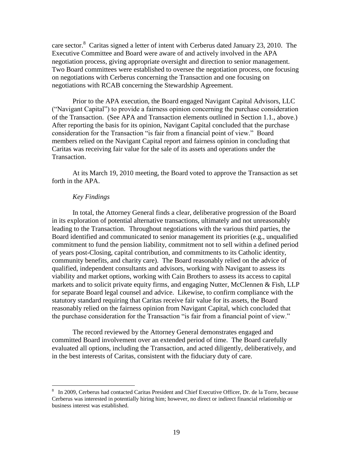care sector.<sup>8</sup> Caritas signed a letter of intent with Cerberus dated January 23, 2010. The Executive Committee and Board were aware of and actively involved in the APA negotiation process, giving appropriate oversight and direction to senior management. Two Board committees were established to oversee the negotiation process, one focusing on negotiations with Cerberus concerning the Transaction and one focusing on negotiations with RCAB concerning the Stewardship Agreement.

Prior to the APA execution, the Board engaged Navigant Capital Advisors, LLC ("Navigant Capital") to provide a fairness opinion concerning the purchase consideration of the Transaction. (See APA and Transaction elements outlined in Section 1.1., above.) After reporting the basis for its opinion, Navigant Capital concluded that the purchase consideration for the Transaction "is fair from a financial point of view." Board members relied on the Navigant Capital report and fairness opinion in concluding that Caritas was receiving fair value for the sale of its assets and operations under the Transaction.

At its March 19, 2010 meeting, the Board voted to approve the Transaction as set forth in the APA.

#### *Key Findings*

 $\overline{a}$ 

In total, the Attorney General finds a clear, deliberative progression of the Board in its exploration of potential alternative transactions, ultimately and not unreasonably leading to the Transaction. Throughout negotiations with the various third parties, the Board identified and communicated to senior management its priorities (e.g., unqualified commitment to fund the pension liability, commitment not to sell within a defined period of years post-Closing, capital contribution, and commitments to its Catholic identity, community benefits, and charity care). The Board reasonably relied on the advice of qualified, independent consultants and advisors, working with Navigant to assess its viability and market options, working with Cain Brothers to assess its access to capital markets and to solicit private equity firms, and engaging Nutter, McClennen & Fish, LLP for separate Board legal counsel and advice. Likewise, to confirm compliance with the statutory standard requiring that Caritas receive fair value for its assets, the Board reasonably relied on the fairness opinion from Navigant Capital, which concluded that the purchase consideration for the Transaction "is fair from a financial point of view."

The record reviewed by the Attorney General demonstrates engaged and committed Board involvement over an extended period of time. The Board carefully evaluated all options, including the Transaction, and acted diligently, deliberatively, and in the best interests of Caritas, consistent with the fiduciary duty of care.

<sup>&</sup>lt;sup>8</sup> In 2009, Cerberus had contacted Caritas President and Chief Executive Officer, Dr. de la Torre, because Cerberus was interested in potentially hiring him; however, no direct or indirect financial relationship or business interest was established.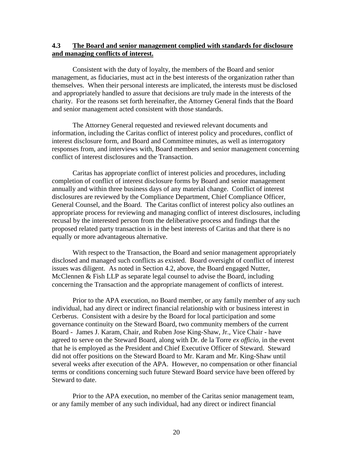#### **4.3 The Board and senior management complied with standards for disclosure and managing conflicts of interest.**

Consistent with the duty of loyalty, the members of the Board and senior management, as fiduciaries, must act in the best interests of the organization rather than themselves. When their personal interests are implicated, the interests must be disclosed and appropriately handled to assure that decisions are truly made in the interests of the charity. For the reasons set forth hereinafter, the Attorney General finds that the Board and senior management acted consistent with those standards.

The Attorney General requested and reviewed relevant documents and information, including the Caritas conflict of interest policy and procedures, conflict of interest disclosure form, and Board and Committee minutes, as well as interrogatory responses from, and interviews with, Board members and senior management concerning conflict of interest disclosures and the Transaction.

Caritas has appropriate conflict of interest policies and procedures, including completion of conflict of interest disclosure forms by Board and senior management annually and within three business days of any material change. Conflict of interest disclosures are reviewed by the Compliance Department, Chief Compliance Officer, General Counsel, and the Board. The Caritas conflict of interest policy also outlines an appropriate process for reviewing and managing conflict of interest disclosures, including recusal by the interested person from the deliberative process and findings that the proposed related party transaction is in the best interests of Caritas and that there is no equally or more advantageous alternative.

With respect to the Transaction, the Board and senior management appropriately disclosed and managed such conflicts as existed. Board oversight of conflict of interest issues was diligent. As noted in Section 4.2, above, the Board engaged Nutter, McClennen & Fish LLP as separate legal counsel to advise the Board, including concerning the Transaction and the appropriate management of conflicts of interest.

Prior to the APA execution, no Board member, or any family member of any such individual, had any direct or indirect financial relationship with or business interest in Cerberus. Consistent with a desire by the Board for local participation and some governance continuity on the Steward Board, two community members of the current Board - James J. Karam, Chair, and Ruben Jose King-Shaw, Jr., Vice Chair - have agreed to serve on the Steward Board, along with Dr. de la Torre *ex officio*, in the event that he is employed as the President and Chief Executive Officer of Steward. Steward did not offer positions on the Steward Board to Mr. Karam and Mr. King-Shaw until several weeks after execution of the APA. However, no compensation or other financial terms or conditions concerning such future Steward Board service have been offered by Steward to date.

Prior to the APA execution, no member of the Caritas senior management team, or any family member of any such individual, had any direct or indirect financial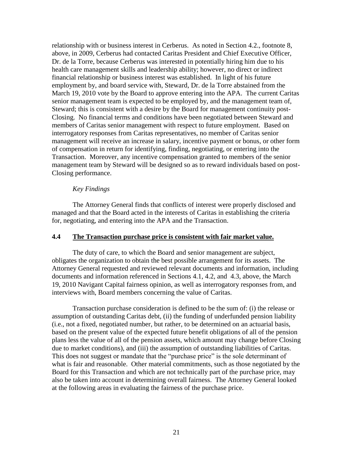relationship with or business interest in Cerberus. As noted in Section 4.2., footnote 8, above, in 2009, Cerberus had contacted Caritas President and Chief Executive Officer, Dr. de la Torre, because Cerberus was interested in potentially hiring him due to his health care management skills and leadership ability; however, no direct or indirect financial relationship or business interest was established. In light of his future employment by, and board service with, Steward, Dr. de la Torre abstained from the March 19, 2010 vote by the Board to approve entering into the APA. The current Caritas senior management team is expected to be employed by, and the management team of, Steward; this is consistent with a desire by the Board for management continuity post-Closing. No financial terms and conditions have been negotiated between Steward and members of Caritas senior management with respect to future employment. Based on interrogatory responses from Caritas representatives, no member of Caritas senior management will receive an increase in salary, incentive payment or bonus, or other form of compensation in return for identifying, finding, negotiating, or entering into the Transaction. Moreover, any incentive compensation granted to members of the senior management team by Steward will be designed so as to reward individuals based on post-Closing performance.

#### *Key Findings*

The Attorney General finds that conflicts of interest were properly disclosed and managed and that the Board acted in the interests of Caritas in establishing the criteria for, negotiating, and entering into the APA and the Transaction.

#### **4.4 The Transaction purchase price is consistent with fair market value.**

The duty of care, to which the Board and senior management are subject, obligates the organization to obtain the best possible arrangement for its assets. The Attorney General requested and reviewed relevant documents and information, including documents and information referenced in Sections 4.1, 4.2, and 4.3, above, the March 19, 2010 Navigant Capital fairness opinion, as well as interrogatory responses from, and interviews with, Board members concerning the value of Caritas.

Transaction purchase consideration is defined to be the sum of: (i) the release or assumption of outstanding Caritas debt, (ii) the funding of underfunded pension liability (i.e., not a fixed, negotiated number, but rather, to be determined on an actuarial basis, based on the present value of the expected future benefit obligations of all of the pension plans less the value of all of the pension assets, which amount may change before Closing due to market conditions), and (iii) the assumption of outstanding liabilities of Caritas. This does not suggest or mandate that the "purchase price" is the sole determinant of what is fair and reasonable. Other material commitments, such as those negotiated by the Board for this Transaction and which are not technically part of the purchase price, may also be taken into account in determining overall fairness. The Attorney General looked at the following areas in evaluating the fairness of the purchase price.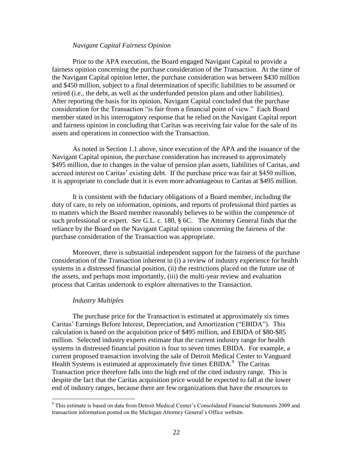#### *Navigant Capital Fairness Opinion*

Prior to the APA execution, the Board engaged Navigant Capital to provide a fairness opinion concerning the purchase consideration of the Transaction. At the time of the Navigant Capital opinion letter, the purchase consideration was between \$430 million and \$450 million, subject to a final determination of specific liabilities to be assumed or retired (i.e., the debt, as well as the underfunded pension plans and other liabilities). After reporting the basis for its opinion, Navigant Capital concluded that the purchase consideration for the Transaction "is fair from a financial point of view." Each Board member stated in his interrogatory response that he relied on the Navigant Capital report and fairness opinion in concluding that Caritas was receiving fair value for the sale of its assets and operations in connection with the Transaction.

As noted in Section 1.1 above, since execution of the APA and the issuance of the Navigant Capital opinion, the purchase consideration has increased to approximately \$495 million, due to changes in the value of pension plan assets, liabilities of Caritas, and accrued interest on Caritas' existing debt. If the purchase price was fair at \$450 million, it is appropriate to conclude that it is even more advantageous to Caritas at \$495 million.

It is consistent with the fiduciary obligations of a Board member, including the duty of care, to rely on information, opinions, and reports of professional third parties as to matters which the Board member reasonably believes to be within the competence of such professional or expert. *See* G.L. c. 180, § 6C. The Attorney General finds that the reliance by the Board on the Navigant Capital opinion concerning the fairness of the purchase consideration of the Transaction was appropriate.

Moreover, there is substantial independent support for the fairness of the purchase consideration of the Transaction inherent in (i) a review of industry experience for health systems in a distressed financial position, (ii) the restrictions placed on the future use of the assets, and perhaps most importantly, (iii) the multi-year review and evaluation process that Caritas undertook to explore alternatives to the Transaction.

#### *Industry Multiples*

 $\overline{a}$ 

The purchase price for the Transaction is estimated at approximately six times Caritas' Earnings Before Interest, Depreciation, and Amortization ("EBIDA"). This calculation is based on the acquisition price of \$495 million, and EBIDA of \$80-\$85 million. Selected industry experts estimate that the current industry range for health systems in distressed financial position is four to seven times EBIDA. For example, a current proposed transaction involving the sale of Detroit Medical Center to Vanguard Health Systems is estimated at approximately five times EBIDA.<sup>9</sup> The Caritas Transaction price therefore falls into the high end of the cited industry range. This is despite the fact that the Caritas acquisition price would be expected to fall at the lower end of industry ranges, because there are few organizations that have the resources to

<sup>9</sup> This estimate is based on data from Detroit Medical Center's Consolidated Financial Statements 2009 and transaction information posted on the Michigan Attorney General's Office website.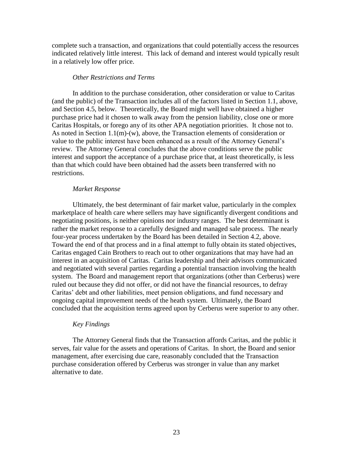complete such a transaction, and organizations that could potentially access the resources indicated relatively little interest. This lack of demand and interest would typically result in a relatively low offer price.

#### *Other Restrictions and Terms*

In addition to the purchase consideration, other consideration or value to Caritas (and the public) of the Transaction includes all of the factors listed in Section 1.1, above, and Section 4.5, below. Theoretically, the Board might well have obtained a higher purchase price had it chosen to walk away from the pension liability, close one or more Caritas Hospitals, or forego any of its other APA negotiation priorities. It chose not to. As noted in Section 1.1(m)-(w), above, the Transaction elements of consideration or value to the public interest have been enhanced as a result of the Attorney General's review. The Attorney General concludes that the above conditions serve the public interest and support the acceptance of a purchase price that, at least theoretically, is less than that which could have been obtained had the assets been transferred with no restrictions.

#### *Market Response*

Ultimately, the best determinant of fair market value, particularly in the complex marketplace of health care where sellers may have significantly divergent conditions and negotiating positions, is neither opinions nor industry ranges. The best determinant is rather the market response to a carefully designed and managed sale process. The nearly four-year process undertaken by the Board has been detailed in Section 4.2, above. Toward the end of that process and in a final attempt to fully obtain its stated objectives, Caritas engaged Cain Brothers to reach out to other organizations that may have had an interest in an acquisition of Caritas. Caritas leadership and their advisors communicated and negotiated with several parties regarding a potential transaction involving the health system. The Board and management report that organizations (other than Cerberus) were ruled out because they did not offer, or did not have the financial resources, to defray Caritas' debt and other liabilities, meet pension obligations, and fund necessary and ongoing capital improvement needs of the heath system. Ultimately, the Board concluded that the acquisition terms agreed upon by Cerberus were superior to any other.

#### *Key Findings*

The Attorney General finds that the Transaction affords Caritas, and the public it serves, fair value for the assets and operations of Caritas. In short, the Board and senior management, after exercising due care, reasonably concluded that the Transaction purchase consideration offered by Cerberus was stronger in value than any market alternative to date.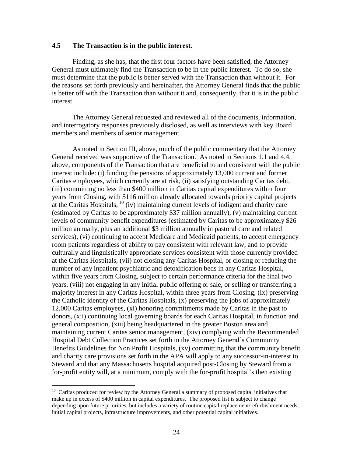#### **4.5 The Transaction is in the public interest.**

Finding, as she has, that the first four factors have been satisfied, the Attorney General must ultimately find the Transaction to be in the public interest. To do so, she must determine that the public is better served with the Transaction than without it. For the reasons set forth previously and hereinafter, the Attorney General finds that the public is better off with the Transaction than without it and, consequently, that it is in the public interest.

The Attorney General requested and reviewed all of the documents, information, and interrogatory responses previously disclosed, as well as interviews with key Board members and members of senior management.

As noted in Section III, above, much of the public commentary that the Attorney General received was supportive of the Transaction. As noted in Sections 1.1 and 4.4, above, components of the Transaction that are beneficial to and consistent with the public interest include: (i) funding the pensions of approximately 13,000 current and former Caritas employees, which currently are at risk, (ii) satisfying outstanding Caritas debt, (iii) committing no less than \$400 million in Caritas capital expenditures within four years from Closing, with \$116 million already allocated towards priority capital projects at the Caritas Hospitals,  $^{10}$  (iv) maintaining current levels of indigent and charity care (estimated by Caritas to be approximately \$37 million annually), (v) maintaining current levels of community benefit expenditures (estimated by Caritas to be approximately \$26 million annually, plus an additional \$3 million annually in pastoral care and related services), (vi) continuing to accept Medicare and Medicaid patients, to accept emergency room patients regardless of ability to pay consistent with relevant law, and to provide culturally and linguistically appropriate services consistent with those currently provided at the Caritas Hospitals, (vii) not closing any Caritas Hospital, or closing or reducing the number of any inpatient psychiatric and detoxification beds in any Caritas Hospital, within five years from Closing, subject to certain performance criteria for the final two years, (viii) not engaging in any initial public offering or sale, or selling or transferring a majority interest in any Caritas Hospital, within three years from Closing, (ix) preserving the Catholic identity of the Caritas Hospitals, (x) preserving the jobs of approximately 12,000 Caritas employees, (xi) honoring commitments made by Caritas in the past to donors, (xii) continuing local governing boards for each Caritas Hospital, in function and general composition, (xiii) being headquartered in the greater Boston area and maintaining current Caritas senior management, (xiv) complying with the Recommended Hospital Debt Collection Practices set forth in the Attorney General's Community Benefits Guidelines for Non Profit Hospitals, (xv) committing that the community benefit and charity care provisions set forth in the APA will apply to any successor-in-interest to Steward and that any Massachusetts hospital acquired post-Closing by Steward from a for-profit entity will, at a minimum, comply with the for-profit hospital's then existing

 $\overline{a}$ 

 $10$  Caritas produced for review by the Attorney General a summary of proposed capital initiatives that make up in excess of \$400 million in capital expenditures. The proposed list is subject to change depending upon future priorities, but includes a variety of routine capital replacement/refurbishment needs, initial capital projects, infrastructure improvements, and other potential capital initiatives.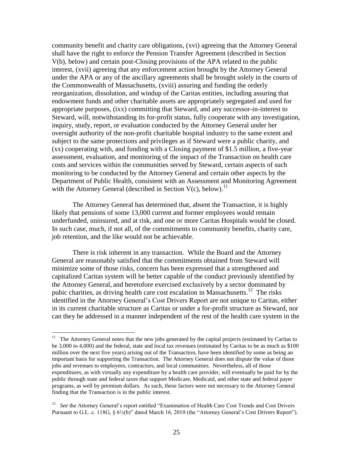community benefit and charity care obligations, (xvi) agreeing that the Attorney General shall have the right to enforce the Pension Transfer Agreement (described in Section V(b), below) and certain post-Closing provisions of the APA related to the public interest, (xvii) agreeing that any enforcement action brought by the Attorney General under the APA or any of the ancillary agreements shall be brought solely in the courts of the Commonwealth of Massachusetts, (xviii) assuring and funding the orderly reorganization, dissolution, and windup of the Caritas entities, including assuring that endowment funds and other charitable assets are appropriately segregated and used for appropriate purposes, (ixx) committing that Steward, and any successor-in-interest to Steward, will, notwithstanding its for-profit status, fully cooperate with any investigation, inquiry, study, report, or evaluation conducted by the Attorney General under her oversight authority of the non-profit charitable hospital industry to the same extent and subject to the same protections and privileges as if Steward were a public charity, and (xx) cooperating with, and funding with a Closing payment of \$1.5 million, a five-year assessment, evaluation, and monitoring of the impact of the Transaction on health care costs and services within the communities served by Steward, certain aspects of such monitoring to be conducted by the Attorney General and certain other aspects by the Department of Public Health, consistent with an Assessment and Monitoring Agreement with the Attorney General (described in Section  $V(c)$ , below).<sup>11</sup>

The Attorney General has determined that, absent the Transaction, it is highly likely that pensions of some 13,000 current and former employees would remain underfunded, uninsured, and at risk, and one or more Caritas Hospitals would be closed. In such case, much, if not all, of the commitments to community benefits, charity care, job retention, and the like would not be achievable.

There is risk inherent in any transaction. While the Board and the Attorney General are reasonably satisfied that the commitments obtained from Steward will minimize some of those risks, concern has been expressed that a strengthened and capitalized Caritas system will be better capable of the conduct previously identified by the Attorney General, and heretofore exercised exclusively by a sector dominated by pubic charities, as driving health care cost escalation in Massachusetts.<sup>12</sup> The risks identified in the Attorney General's Cost Drivers Report are not unique to Caritas, either in its current charitable structure as Caritas or under a for-profit structure as Steward, nor can they be addressed in a manner independent of the rest of the health care system in the

 11 The Attorney General notes that the new jobs generated by the capital projects (estimated by Caritas to be 3,000 to 4,000) and the federal, state and local tax revenues (estimated by Caritas to be as much as \$100 million over the next five years) arising out of the Transaction, have been identified by some as being an important basis for supporting the Transaction. The Attorney General does not dispute the value of those jobs and revenues to employees, contractors, and local communities. Nevertheless, all of those expenditures, as with virtually any expenditure by a health care provider, will eventually be paid for by the public through state and federal taxes that support Medicare, Medicaid, and other state and federal payer programs, as well by premium dollars. As such, these factors were not necessary to the Attorney General finding that the Transaction is in the public interest.

<sup>&</sup>lt;sup>12</sup> See the Attorney General's report entitled "Examination of Health Care Cost Trends and Cost Drivers Pursuant to G.L. c. 118G,  $\frac{6}{2}$  (b)" dated March 16, 2010 (the "Attorney General's Cost Drivers Report").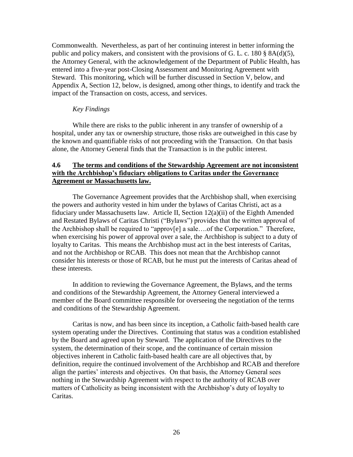Commonwealth. Nevertheless, as part of her continuing interest in better informing the public and policy makers, and consistent with the provisions of G. L. c. 180 § 8A(d)(5), the Attorney General, with the acknowledgement of the Department of Public Health, has entered into a five-year post-Closing Assessment and Monitoring Agreement with Steward. This monitoring, which will be further discussed in Section V, below, and Appendix A, Section 12, below, is designed, among other things, to identify and track the impact of the Transaction on costs, access, and services.

#### *Key Findings*

While there are risks to the public inherent in any transfer of ownership of a hospital, under any tax or ownership structure, those risks are outweighed in this case by the known and quantifiable risks of not proceeding with the Transaction. On that basis alone, the Attorney General finds that the Transaction is in the public interest.

### **4.6 The terms and conditions of the Stewardship Agreement are not inconsistent with the Archbishop's fiduciary obligations to Caritas under the Governance Agreement or Massachusetts law.**

The Governance Agreement provides that the Archbishop shall, when exercising the powers and authority vested in him under the bylaws of Caritas Christi, act as a fiduciary under Massachusetts law. Article II, Section 12(a)(ii) of the Eighth Amended and Restated Bylaws of Caritas Christi ("Bylaws") provides that the written approval of the Archbishop shall be required to "approv[e] a sale….of the Corporation." Therefore, when exercising his power of approval over a sale, the Archbishop is subject to a duty of loyalty to Caritas. This means the Archbishop must act in the best interests of Caritas, and not the Archbishop or RCAB. This does not mean that the Archbishop cannot consider his interests or those of RCAB, but he must put the interests of Caritas ahead of these interests.

In addition to reviewing the Governance Agreement, the Bylaws, and the terms and conditions of the Stewardship Agreement, the Attorney General interviewed a member of the Board committee responsible for overseeing the negotiation of the terms and conditions of the Stewardship Agreement.

Caritas is now, and has been since its inception, a Catholic faith-based health care system operating under the Directives. Continuing that status was a condition established by the Board and agreed upon by Steward. The application of the Directives to the system, the determination of their scope, and the continuance of certain mission objectives inherent in Catholic faith-based health care are all objectives that, by definition, require the continued involvement of the Archbishop and RCAB and therefore align the parties' interests and objectives. On that basis, the Attorney General sees nothing in the Stewardship Agreement with respect to the authority of RCAB over matters of Catholicity as being inconsistent with the Archbishop's duty of loyalty to Caritas.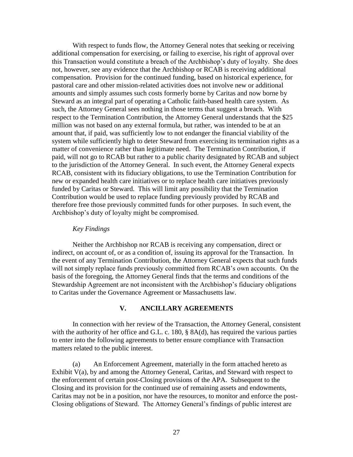With respect to funds flow, the Attorney General notes that seeking or receiving additional compensation for exercising, or failing to exercise, his right of approval over this Transaction would constitute a breach of the Archbishop's duty of loyalty. She does not, however, see any evidence that the Archbishop or RCAB is receiving additional compensation. Provision for the continued funding, based on historical experience, for pastoral care and other mission-related activities does not involve new or additional amounts and simply assumes such costs formerly borne by Caritas and now borne by Steward as an integral part of operating a Catholic faith-based health care system. As such, the Attorney General sees nothing in those terms that suggest a breach. With respect to the Termination Contribution, the Attorney General understands that the \$25 million was not based on any external formula, but rather, was intended to be at an amount that, if paid, was sufficiently low to not endanger the financial viability of the system while sufficiently high to deter Steward from exercising its termination rights as a matter of convenience rather than legitimate need. The Termination Contribution, if paid, will not go to RCAB but rather to a public charity designated by RCAB and subject to the jurisdiction of the Attorney General. In such event, the Attorney General expects RCAB, consistent with its fiduciary obligations, to use the Termination Contribution for new or expanded health care initiatives or to replace health care initiatives previously funded by Caritas or Steward. This will limit any possibility that the Termination Contribution would be used to replace funding previously provided by RCAB and therefore free those previously committed funds for other purposes. In such event, the Archbishop's duty of loyalty might be compromised.

#### *Key Findings*

Neither the Archbishop nor RCAB is receiving any compensation, direct or indirect, on account of, or as a condition of, issuing its approval for the Transaction. In the event of any Termination Contribution, the Attorney General expects that such funds will not simply replace funds previously committed from RCAB's own accounts. On the basis of the foregoing, the Attorney General finds that the terms and conditions of the Stewardship Agreement are not inconsistent with the Archbishop's fiduciary obligations to Caritas under the Governance Agreement or Massachusetts law.

#### **V. ANCILLARY AGREEMENTS**

In connection with her review of the Transaction, the Attorney General, consistent with the authority of her office and G.L. c. 180, § 8A(d), has required the various parties to enter into the following agreements to better ensure compliance with Transaction matters related to the public interest.

(a) An Enforcement Agreement, materially in the form attached hereto as Exhibit V(a), by and among the Attorney General, Caritas, and Steward with respect to the enforcement of certain post-Closing provisions of the APA. Subsequent to the Closing and its provision for the continued use of remaining assets and endowments, Caritas may not be in a position, nor have the resources, to monitor and enforce the post-Closing obligations of Steward. The Attorney General's findings of public interest are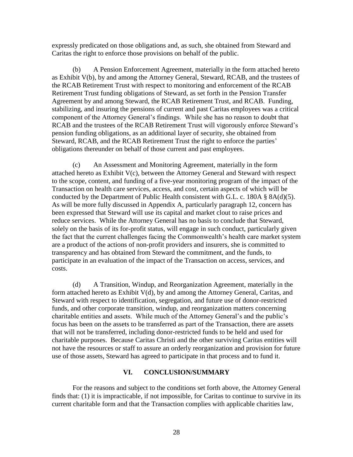expressly predicated on those obligations and, as such, she obtained from Steward and Caritas the right to enforce those provisions on behalf of the public.

(b) A Pension Enforcement Agreement, materially in the form attached hereto as Exhibit V(b), by and among the Attorney General, Steward, RCAB, and the trustees of the RCAB Retirement Trust with respect to monitoring and enforcement of the RCAB Retirement Trust funding obligations of Steward, as set forth in the Pension Transfer Agreement by and among Steward, the RCAB Retirement Trust, and RCAB. Funding, stabilizing, and insuring the pensions of current and past Caritas employees was a critical component of the Attorney General's findings. While she has no reason to doubt that RCAB and the trustees of the RCAB Retirement Trust will vigorously enforce Steward's pension funding obligations, as an additional layer of security, she obtained from Steward, RCAB, and the RCAB Retirement Trust the right to enforce the parties' obligations thereunder on behalf of those current and past employees.

(c) An Assessment and Monitoring Agreement, materially in the form attached hereto as Exhibit V(c), between the Attorney General and Steward with respect to the scope, content, and funding of a five-year monitoring program of the impact of the Transaction on health care services, access, and cost, certain aspects of which will be conducted by the Department of Public Health consistent with G.L. c. 180A § 8A(d)(5). As will be more fully discussed in Appendix A, particularly paragraph 12, concern has been expressed that Steward will use its capital and market clout to raise prices and reduce services. While the Attorney General has no basis to conclude that Steward, solely on the basis of its for-profit status, will engage in such conduct, particularly given the fact that the current challenges facing the Commonwealth's health care market system are a product of the actions of non-profit providers and insurers, she is committed to transparency and has obtained from Steward the commitment, and the funds, to participate in an evaluation of the impact of the Transaction on access, services, and costs.

(d) A Transition, Windup, and Reorganization Agreement, materially in the form attached hereto as Exhibit V(d), by and among the Attorney General, Caritas, and Steward with respect to identification, segregation, and future use of donor-restricted funds, and other corporate transition, windup, and reorganization matters concerning charitable entities and assets. While much of the Attorney General's and the public's focus has been on the assets to be transferred as part of the Transaction, there are assets that will not be transferred, including donor-restricted funds to be held and used for charitable purposes. Because Caritas Christi and the other surviving Caritas entities will not have the resources or staff to assure an orderly reorganization and provision for future use of those assets, Steward has agreed to participate in that process and to fund it.

#### **VI. CONCLUSION/SUMMARY**

For the reasons and subject to the conditions set forth above, the Attorney General finds that: (1) it is impracticable, if not impossible, for Caritas to continue to survive in its current charitable form and that the Transaction complies with applicable charities law,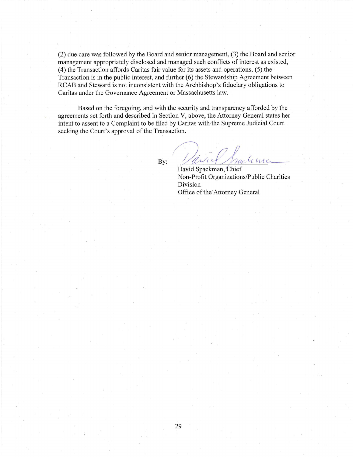$(2)$  due care was followed by the Board and senior management,  $(3)$  the Board and senior management appropriately disclosed and managed such conflicts of interest as existed, (4) the Transaction affords Caritas fair value for its assets and operations, (5) the Transaction is in the public interest, and further (6) the Stewardship Agreement between RCAB and Steward is not inconsistent with the Archbishop's fiduciary obligations to Caritas under the Govemance Agreement or Massachusetts law.

Based on the foregoing, and with the security and transparency afforded by the agreements set forth and described in Section V, above, the Attorney General states her intent to assent to a Complaint to be filed by Caritas with the Supreme Judicial Court seeking the Court's approval of the Transaction.

By:

aird Jackme

David Spackman, Chief Non-Profit Organizations/Public Charities Division Office of the Attomey General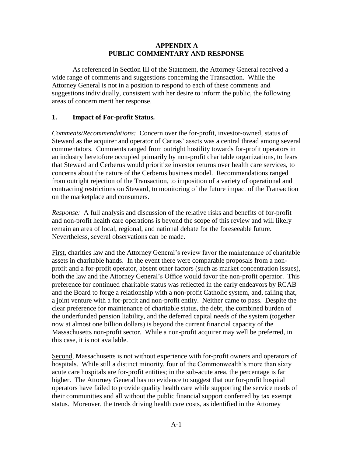#### **APPENDIX A PUBLIC COMMENTARY AND RESPONSE**

As referenced in Section III of the Statement, the Attorney General received a wide range of comments and suggestions concerning the Transaction. While the Attorney General is not in a position to respond to each of these comments and suggestions individually, consistent with her desire to inform the public, the following areas of concern merit her response.

## **1. Impact of For-profit Status.**

*Comments/Recommendations:* Concern over the for-profit, investor-owned, status of Steward as the acquirer and operator of Caritas' assets was a central thread among several commentators. Comments ranged from outright hostility towards for-profit operators in an industry heretofore occupied primarily by non-profit charitable organizations, to fears that Steward and Cerberus would prioritize investor returns over health care services, to concerns about the nature of the Cerberus business model. Recommendations ranged from outright rejection of the Transaction, to imposition of a variety of operational and contracting restrictions on Steward, to monitoring of the future impact of the Transaction on the marketplace and consumers.

*Response:* A full analysis and discussion of the relative risks and benefits of for-profit and non-profit health care operations is beyond the scope of this review and will likely remain an area of local, regional, and national debate for the foreseeable future. Nevertheless, several observations can be made.

First, charities law and the Attorney General's review favor the maintenance of charitable assets in charitable hands. In the event there were comparable proposals from a nonprofit and a for-profit operator, absent other factors (such as market concentration issues), both the law and the Attorney General's Office would favor the non-profit operator. This preference for continued charitable status was reflected in the early endeavors by RCAB and the Board to forge a relationship with a non-profit Catholic system, and, failing that, a joint venture with a for-profit and non-profit entity. Neither came to pass. Despite the clear preference for maintenance of charitable status, the debt, the combined burden of the underfunded pension liability, and the deferred capital needs of the system (together now at almost one billion dollars) is beyond the current financial capacity of the Massachusetts non-profit sector. While a non-profit acquirer may well be preferred, in this case, it is not available.

Second, Massachusetts is not without experience with for-profit owners and operators of hospitals. While still a distinct minority, four of the Commonwealth's more than sixty acute care hospitals are for-profit entities; in the sub-acute area, the percentage is far higher. The Attorney General has no evidence to suggest that our for-profit hospital operators have failed to provide quality health care while supporting the service needs of their communities and all without the public financial support conferred by tax exempt status. Moreover, the trends driving health care costs, as identified in the Attorney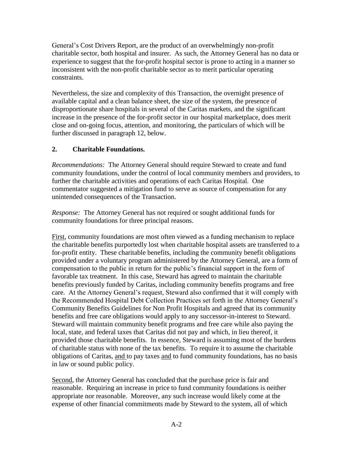General's Cost Drivers Report, are the product of an overwhelmingly non-profit charitable sector, both hospital and insurer. As such, the Attorney General has no data or experience to suggest that the for-profit hospital sector is prone to acting in a manner so inconsistent with the non-profit charitable sector as to merit particular operating constraints.

Nevertheless, the size and complexity of this Transaction, the overnight presence of available capital and a clean balance sheet, the size of the system, the presence of disproportionate share hospitals in several of the Caritas markets, and the significant increase in the presence of the for-profit sector in our hospital marketplace, does merit close and on-going focus, attention, and monitoring, the particulars of which will be further discussed in paragraph 12, below.

## **2. Charitable Foundations.**

*Recommendations:* The Attorney General should require Steward to create and fund community foundations, under the control of local community members and providers, to further the charitable activities and operations of each Caritas Hospital. One commentator suggested a mitigation fund to serve as source of compensation for any unintended consequences of the Transaction.

*Response:* The Attorney General has not required or sought additional funds for community foundations for three principal reasons.

First, community foundations are most often viewed as a funding mechanism to replace the charitable benefits purportedly lost when charitable hospital assets are transferred to a for-profit entity. These charitable benefits, including the community benefit obligations provided under a voluntary program administered by the Attorney General, are a form of compensation to the public in return for the public's financial support in the form of favorable tax treatment. In this case, Steward has agreed to maintain the charitable benefits previously funded by Caritas, including community benefits programs and free care. At the Attorney General's request, Steward also confirmed that it will comply with the Recommended Hospital Debt Collection Practices set forth in the Attorney General's Community Benefits Guidelines for Non Profit Hospitals and agreed that its community benefits and free care obligations would apply to any successor-in-interest to Steward. Steward will maintain community benefit programs and free care while also paying the local, state, and federal taxes that Caritas did not pay and which, in lieu thereof, it provided those charitable benefits. In essence, Steward is assuming most of the burdens of charitable status with none of the tax benefits. To require it to assume the charitable obligations of Caritas, and to pay taxes and to fund community foundations, has no basis in law or sound public policy.

Second, the Attorney General has concluded that the purchase price is fair and reasonable. Requiring an increase in price to fund community foundations is neither appropriate nor reasonable. Moreover, any such increase would likely come at the expense of other financial commitments made by Steward to the system, all of which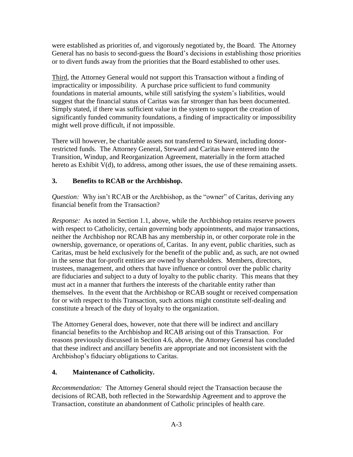were established as priorities of, and vigorously negotiated by, the Board. The Attorney General has no basis to second-guess the Board's decisions in establishing those priorities or to divert funds away from the priorities that the Board established to other uses.

Third, the Attorney General would not support this Transaction without a finding of impracticality or impossibility. A purchase price sufficient to fund community foundations in material amounts, while still satisfying the system's liabilities, would suggest that the financial status of Caritas was far stronger than has been documented. Simply stated, if there was sufficient value in the system to support the creation of significantly funded community foundations, a finding of impracticality or impossibility might well prove difficult, if not impossible.

There will however, be charitable assets not transferred to Steward, including donorrestricted funds. The Attorney General, Steward and Caritas have entered into the Transition, Windup, and Reorganization Agreement, materially in the form attached hereto as Exhibit V(d), to address, among other issues, the use of these remaining assets.

## **3. Benefits to RCAB or the Archbishop.**

*Question:* Why isn't RCAB or the Archbishop, as the "owner" of Caritas, deriving any financial benefit from the Transaction?

*Response:* As noted in Section 1.1, above, while the Archbishop retains reserve powers with respect to Catholicity, certain governing body appointments, and major transactions, neither the Archbishop nor RCAB has any membership in, or other corporate role in the ownership, governance, or operations of, Caritas. In any event, public charities, such as Caritas, must be held exclusively for the benefit of the public and, as such, are not owned in the sense that for-profit entities are owned by shareholders. Members, directors, trustees, management, and others that have influence or control over the public charity are fiduciaries and subject to a duty of loyalty to the public charity. This means that they must act in a manner that furthers the interests of the charitable entity rather than themselves. In the event that the Archbishop or RCAB sought or received compensation for or with respect to this Transaction, such actions might constitute self-dealing and constitute a breach of the duty of loyalty to the organization.

The Attorney General does, however, note that there will be indirect and ancillary financial benefits to the Archbishop and RCAB arising out of this Transaction. For reasons previously discussed in Section 4.6, above, the Attorney General has concluded that these indirect and ancillary benefits are appropriate and not inconsistent with the Archbishop's fiduciary obligations to Caritas.

## **4. Maintenance of Catholicity.**

*Recommendation:* The Attorney General should reject the Transaction because the decisions of RCAB, both reflected in the Stewardship Agreement and to approve the Transaction, constitute an abandonment of Catholic principles of health care.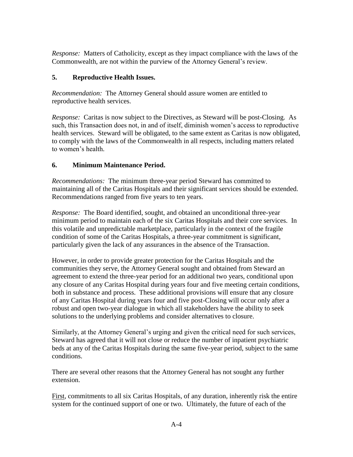*Response:* Matters of Catholicity, except as they impact compliance with the laws of the Commonwealth, are not within the purview of the Attorney General's review.

## **5. Reproductive Health Issues.**

*Recommendation:* The Attorney General should assure women are entitled to reproductive health services.

*Response:* Caritas is now subject to the Directives, as Steward will be post-Closing. As such, this Transaction does not, in and of itself, diminish women's access to reproductive health services. Steward will be obligated, to the same extent as Caritas is now obligated, to comply with the laws of the Commonwealth in all respects, including matters related to women's health.

## **6. Minimum Maintenance Period.**

*Recommendations:* The minimum three-year period Steward has committed to maintaining all of the Caritas Hospitals and their significant services should be extended. Recommendations ranged from five years to ten years.

*Response:* The Board identified, sought, and obtained an unconditional three-year minimum period to maintain each of the six Caritas Hospitals and their core services. In this volatile and unpredictable marketplace, particularly in the context of the fragile condition of some of the Caritas Hospitals, a three-year commitment is significant, particularly given the lack of any assurances in the absence of the Transaction.

However, in order to provide greater protection for the Caritas Hospitals and the communities they serve, the Attorney General sought and obtained from Steward an agreement to extend the three-year period for an additional two years, conditional upon any closure of any Caritas Hospital during years four and five meeting certain conditions, both in substance and process. These additional provisions will ensure that any closure of any Caritas Hospital during years four and five post-Closing will occur only after a robust and open two-year dialogue in which all stakeholders have the ability to seek solutions to the underlying problems and consider alternatives to closure.

Similarly, at the Attorney General's urging and given the critical need for such services, Steward has agreed that it will not close or reduce the number of inpatient psychiatric beds at any of the Caritas Hospitals during the same five-year period, subject to the same conditions.

There are several other reasons that the Attorney General has not sought any further extension.

First, commitments to all six Caritas Hospitals, of any duration, inherently risk the entire system for the continued support of one or two. Ultimately, the future of each of the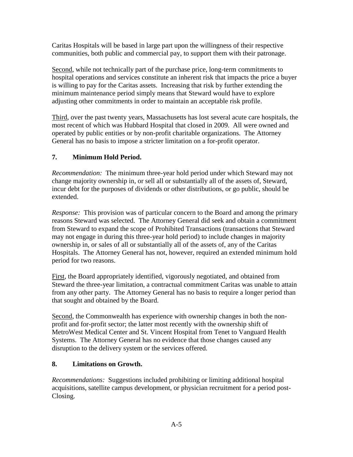Caritas Hospitals will be based in large part upon the willingness of their respective communities, both public and commercial pay, to support them with their patronage.

Second, while not technically part of the purchase price, long-term commitments to hospital operations and services constitute an inherent risk that impacts the price a buyer is willing to pay for the Caritas assets. Increasing that risk by further extending the minimum maintenance period simply means that Steward would have to explore adjusting other commitments in order to maintain an acceptable risk profile.

Third, over the past twenty years, Massachusetts has lost several acute care hospitals, the most recent of which was Hubbard Hospital that closed in 2009. All were owned and operated by public entities or by non-profit charitable organizations. The Attorney General has no basis to impose a stricter limitation on a for-profit operator.

## **7. Minimum Hold Period.**

*Recommendation:* The minimum three-year hold period under which Steward may not change majority ownership in, or sell all or substantially all of the assets of, Steward, incur debt for the purposes of dividends or other distributions, or go public, should be extended.

*Response:* This provision was of particular concern to the Board and among the primary reasons Steward was selected. The Attorney General did seek and obtain a commitment from Steward to expand the scope of Prohibited Transactions (transactions that Steward may not engage in during this three-year hold period) to include changes in majority ownership in, or sales of all or substantially all of the assets of, any of the Caritas Hospitals. The Attorney General has not, however, required an extended minimum hold period for two reasons.

First, the Board appropriately identified, vigorously negotiated, and obtained from Steward the three-year limitation, a contractual commitment Caritas was unable to attain from any other party. The Attorney General has no basis to require a longer period than that sought and obtained by the Board.

Second, the Commonwealth has experience with ownership changes in both the nonprofit and for-profit sector; the latter most recently with the ownership shift of MetroWest Medical Center and St. Vincent Hospital from Tenet to Vanguard Health Systems. The Attorney General has no evidence that those changes caused any disruption to the delivery system or the services offered.

## **8. Limitations on Growth.**

*Recommendations:* Suggestions included prohibiting or limiting additional hospital acquisitions, satellite campus development, or physician recruitment for a period post-Closing.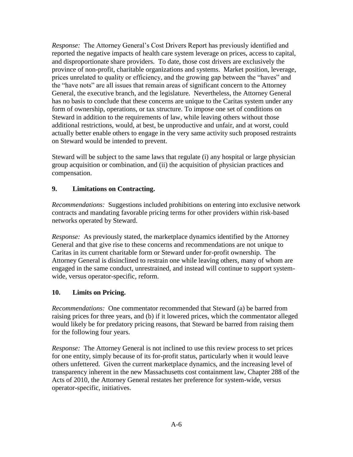*Response:* The Attorney General's Cost Drivers Report has previously identified and reported the negative impacts of health care system leverage on prices, access to capital, and disproportionate share providers. To date, those cost drivers are exclusively the province of non-profit, charitable organizations and systems. Market position, leverage, prices unrelated to quality or efficiency, and the growing gap between the "haves" and the "have nots" are all issues that remain areas of significant concern to the Attorney General, the executive branch, and the legislature. Nevertheless, the Attorney General has no basis to conclude that these concerns are unique to the Caritas system under any form of ownership, operations, or tax structure. To impose one set of conditions on Steward in addition to the requirements of law, while leaving others without those additional restrictions, would, at best, be unproductive and unfair, and at worst, could actually better enable others to engage in the very same activity such proposed restraints on Steward would be intended to prevent.

Steward will be subject to the same laws that regulate (i) any hospital or large physician group acquisition or combination, and (ii) the acquisition of physician practices and compensation.

## **9. Limitations on Contracting.**

*Recommendations:* Suggestions included prohibitions on entering into exclusive network contracts and mandating favorable pricing terms for other providers within risk-based networks operated by Steward.

*Response:* As previously stated, the marketplace dynamics identified by the Attorney General and that give rise to these concerns and recommendations are not unique to Caritas in its current charitable form or Steward under for-profit ownership. The Attorney General is disinclined to restrain one while leaving others, many of whom are engaged in the same conduct, unrestrained, and instead will continue to support systemwide, versus operator-specific, reform.

### **10. Limits on Pricing.**

*Recommendations:* One commentator recommended that Steward (a) be barred from raising prices for three years, and (b) if it lowered prices, which the commentator alleged would likely be for predatory pricing reasons, that Steward be barred from raising them for the following four years.

*Response:* The Attorney General is not inclined to use this review process to set prices for one entity, simply because of its for-profit status, particularly when it would leave others unfettered. Given the current marketplace dynamics, and the increasing level of transparency inherent in the new Massachusetts cost containment law, Chapter 288 of the Acts of 2010, the Attorney General restates her preference for system-wide, versus operator-specific, initiatives.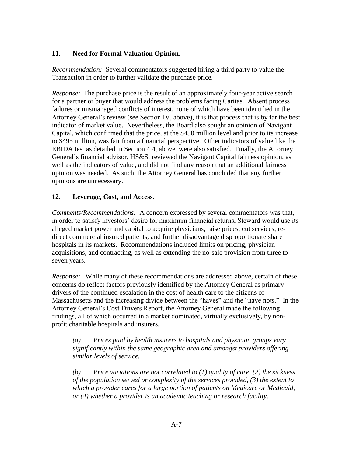## **11. Need for Formal Valuation Opinion.**

*Recommendation:* Several commentators suggested hiring a third party to value the Transaction in order to further validate the purchase price.

*Response:* The purchase price is the result of an approximately four-year active search for a partner or buyer that would address the problems facing Caritas. Absent process failures or mismanaged conflicts of interest, none of which have been identified in the Attorney General's review (see Section IV, above), it is that process that is by far the best indicator of market value. Nevertheless, the Board also sought an opinion of Navigant Capital, which confirmed that the price, at the \$450 million level and prior to its increase to \$495 million, was fair from a financial perspective. Other indicators of value like the EBIDA test as detailed in Section 4.4, above, were also satisfied. Finally, the Attorney General's financial advisor, HS&S, reviewed the Navigant Capital fairness opinion, as well as the indicators of value, and did not find any reason that an additional fairness opinion was needed. As such, the Attorney General has concluded that any further opinions are unnecessary.

### **12. Leverage, Cost, and Access.**

*Comments/Recommendations:* A concern expressed by several commentators was that, in order to satisfy investors' desire for maximum financial returns, Steward would use its alleged market power and capital to acquire physicians, raise prices, cut services, redirect commercial insured patients, and further disadvantage disproportionate share hospitals in its markets. Recommendations included limits on pricing, physician acquisitions, and contracting, as well as extending the no-sale provision from three to seven years.

*Response:* While many of these recommendations are addressed above, certain of these concerns do reflect factors previously identified by the Attorney General as primary drivers of the continued escalation in the cost of health care to the citizens of Massachusetts and the increasing divide between the "haves" and the "have nots." In the Attorney General's Cost Drivers Report, the Attorney General made the following findings, all of which occurred in a market dominated, virtually exclusively, by nonprofit charitable hospitals and insurers.

*(a) Prices paid by health insurers to hospitals and physician groups vary significantly within the same geographic area and amongst providers offering similar levels of service.* 

*(b) Price variations are not correlated to (1) quality of care, (2) the sickness of the population served or complexity of the services provided, (3) the extent to which a provider cares for a large portion of patients on Medicare or Medicaid, or (4) whether a provider is an academic teaching or research facility.*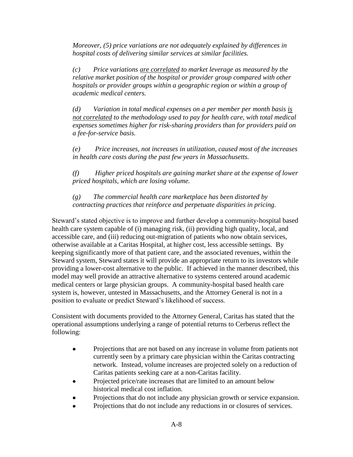*Moreover, (5) price variations are not adequately explained by differences in hospital costs of delivering similar services at similar facilities.* 

*(c) Price variations are correlated to market leverage as measured by the relative market position of the hospital or provider group compared with other hospitals or provider groups within a geographic region or within a group of academic medical centers.* 

*(d) Variation in total medical expenses on a per member per month basis is not correlated to the methodology used to pay for health care, with total medical expenses sometimes higher for risk-sharing providers than for providers paid on a fee-for-service basis.* 

*(e) Price increases, not increases in utilization, caused most of the increases in health care costs during the past few years in Massachusetts.* 

*(f) Higher priced hospitals are gaining market share at the expense of lower priced hospitals, which are losing volume.* 

*(g) The commercial health care marketplace has been distorted by contracting practices that reinforce and perpetuate disparities in pricing.* 

Steward's stated objective is to improve and further develop a community-hospital based health care system capable of (i) managing risk, (ii) providing high quality, local, and accessible care, and (iii) reducing out-migration of patients who now obtain services, otherwise available at a Caritas Hospital, at higher cost, less accessible settings. By keeping significantly more of that patient care, and the associated revenues, within the Steward system, Steward states it will provide an appropriate return to its investors while providing a lower-cost alternative to the public. If achieved in the manner described, this model may well provide an attractive alternative to systems centered around academic medical centers or large physician groups. A community-hospital based health care system is, however, untested in Massachusetts, and the Attorney General is not in a position to evaluate or predict Steward's likelihood of success.

Consistent with documents provided to the Attorney General, Caritas has stated that the operational assumptions underlying a range of potential returns to Cerberus reflect the following:

- Projections that are not based on any increase in volume from patients not currently seen by a primary care physician within the Caritas contracting network. Instead, volume increases are projected solely on a reduction of Caritas patients seeking care at a non-Caritas facility.
- Projected price/rate increases that are limited to an amount below historical medical cost inflation.
- Projections that do not include any physician growth or service expansion.
- Projections that do not include any reductions in or closures of services.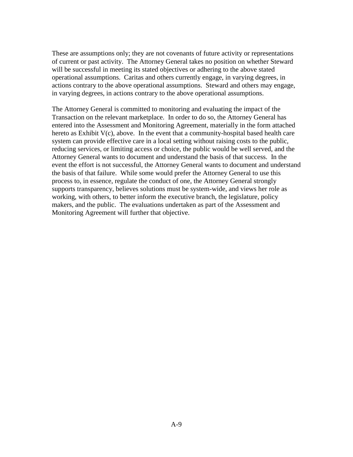These are assumptions only; they are not covenants of future activity or representations of current or past activity. The Attorney General takes no position on whether Steward will be successful in meeting its stated objectives or adhering to the above stated operational assumptions. Caritas and others currently engage, in varying degrees, in actions contrary to the above operational assumptions. Steward and others may engage, in varying degrees, in actions contrary to the above operational assumptions.

The Attorney General is committed to monitoring and evaluating the impact of the Transaction on the relevant marketplace. In order to do so, the Attorney General has entered into the Assessment and Monitoring Agreement, materially in the form attached hereto as Exhibit  $V(c)$ , above. In the event that a community-hospital based health care system can provide effective care in a local setting without raising costs to the public, reducing services, or limiting access or choice, the public would be well served, and the Attorney General wants to document and understand the basis of that success. In the event the effort is not successful, the Attorney General wants to document and understand the basis of that failure. While some would prefer the Attorney General to use this process to, in essence, regulate the conduct of one, the Attorney General strongly supports transparency, believes solutions must be system-wide, and views her role as working, with others, to better inform the executive branch, the legislature, policy makers, and the public. The evaluations undertaken as part of the Assessment and Monitoring Agreement will further that objective.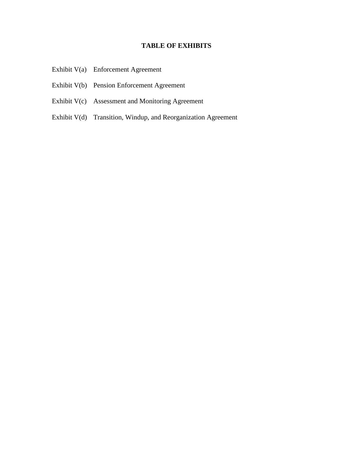## **TABLE OF EXHIBITS**

- Exhibit V(a) Enforcement Agreement
- Exhibit V(b) Pension Enforcement Agreement
- Exhibit V(c) Assessment and Monitoring Agreement
- Exhibit V(d) Transition, Windup, and Reorganization Agreement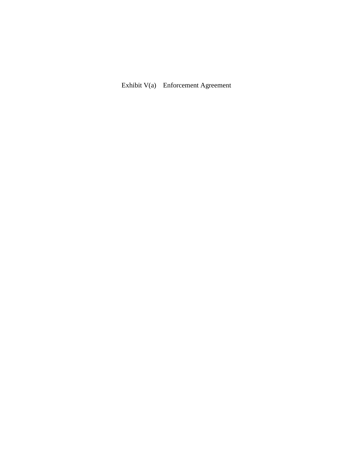Exhibit V(a) Enforcement Agreement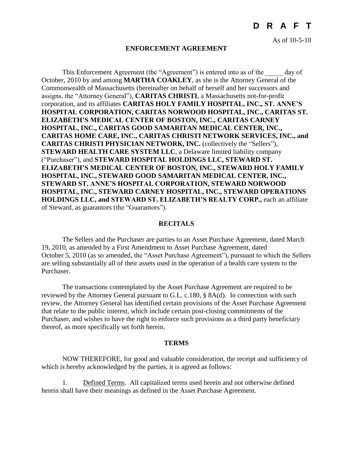As of 10-5-10

#### **ENFORCEMENT AGREEMENT**

This Enforcement Agreement (the "Agreement") is entered into as of the day of October, 2010 by and among **MARTHA COAKLEY**, as she is the Attorney General of the Commonwealth of Massachusetts (hereinafter on behalf of herself and her successors and assigns, the "Attorney General"), **CARITAS CHRISTI**, a Massachusetts not-for-profit corporation, and its affiliates **CARITAS HOLY FAMILY HOSPITAL, INC., ST. ANNE'S HOSPITAL CORPORATION, CARITAS NORWOOD HOSPITAL, INC., CARITAS ST. ELIZABETH'S MEDICAL CENTER OF BOSTON, INC., CARITAS CARNEY HOSPITAL, INC., CARITAS GOOD SAMARITAN MEDICAL CENTER, INC., CARITAS HOME CARE, INC., CARITAS CHRISTI NETWORK SERVICES, INC., and CARITAS CHRISTI PHYSICIAN NETWORK, INC.** (collectively the "Sellers"), **STEWARD HEALTH CARE SYSTEM LLC**, a Delaware limited liability company ("Purchaser"), and **STEWARD HOSPITAL HOLDINGS LLC, STEWARD ST. ELIZABETH'S MEDICAL CENTER OF BOSTON, INC., STEWARD HOLY FAMILY HOSPITAL, INC., STEWARD GOOD SAMARITAN MEDICAL CENTER, INC., STEWARD ST. ANNE'S HOSPITAL CORPORATION, STEWARD NORWOOD HOSPITAL, INC., STEWARD CARNEY HOSPITAL, INC., STEWARD OPERATIONS HOLDINGS LLC, and STEWARD ST. ELIZABETH'S REALTY CORP.,** each an affiliate of Steward, as guarantors (the "Guarantors").

#### **RECITALS**

The Sellers and the Purchaser are parties to an Asset Purchase Agreement, dated March 19, 2010, as amended by a First Amendment to Asset Purchase Agreement, dated October 5, 2010 (as so amended, the "Asset Purchase Agreement"), pursuant to which the Sellers are selling substantially all of their assets used in the operation of a health care system to the Purchaser.

The transactions contemplated by the Asset Purchase Agreement are required to be reviewed by the Attorney General pursuant to G.L. c.180, § 8A(d). In connection with such review, the Attorney General has identified certain provisions of the Asset Purchase Agreement that relate to the public interest, which include certain post-closing commitments of the Purchaser, and wishes to have the right to enforce such provisions as a third party beneficiary thereof, as more specifically set forth herein.

#### **TERMS**

NOW THEREFORE, for good and valuable consideration, the receipt and sufficiency of which is hereby acknowledged by the parties, it is agreed as follows:

1. Defined Terms. All capitalized terms used herein and not otherwise defined herein shall have their meanings as defined in the Asset Purchase Agreement.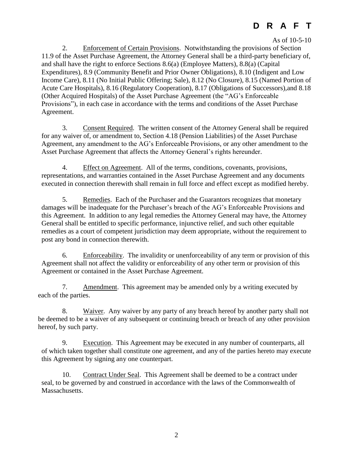As of 10-5-10

2. Enforcement of Certain Provisions. Notwithstanding the provisions of Section 11.9 of the Asset Purchase Agreement, the Attorney General shall be a third-party beneficiary of, and shall have the right to enforce Sections 8.6(a) (Employee Matters), 8.8(a) (Capital Expenditures), 8.9 (Community Benefit and Prior Owner Obligations), 8.10 (Indigent and Low Income Care), 8.11 (No Initial Public Offering; Sale), 8.12 (No Closure), 8.15 (Named Portion of Acute Care Hospitals), 8.16 (Regulatory Cooperation), 8.17 (Obligations of Successors),and 8.18 (Other Acquired Hospitals) of the Asset Purchase Agreement (the "AG's Enforceable Provisions"), in each case in accordance with the terms and conditions of the Asset Purchase Agreement.

3. Consent Required. The written consent of the Attorney General shall be required for any waiver of, or amendment to, Section 4.18 (Pension Liabilities) of the Asset Purchase Agreement, any amendment to the AG's Enforceable Provisions, or any other amendment to the Asset Purchase Agreement that affects the Attorney General's rights hereunder.

4. Effect on Agreement. All of the terms, conditions, covenants, provisions, representations, and warranties contained in the Asset Purchase Agreement and any documents executed in connection therewith shall remain in full force and effect except as modified hereby.

5. Remedies. Each of the Purchaser and the Guarantors recognizes that monetary damages will be inadequate for the Purchaser's breach of the AG's Enforceable Provisions and this Agreement. In addition to any legal remedies the Attorney General may have, the Attorney General shall be entitled to specific performance, injunctive relief, and such other equitable remedies as a court of competent jurisdiction may deem appropriate, without the requirement to post any bond in connection therewith.

6. Enforceability. The invalidity or unenforceability of any term or provision of this Agreement shall not affect the validity or enforceability of any other term or provision of this Agreement or contained in the Asset Purchase Agreement.

7. Amendment. This agreement may be amended only by a writing executed by each of the parties.

8. Waiver. Any waiver by any party of any breach hereof by another party shall not be deemed to be a waiver of any subsequent or continuing breach or breach of any other provision hereof, by such party.

9. Execution. This Agreement may be executed in any number of counterparts, all of which taken together shall constitute one agreement, and any of the parties hereto may execute this Agreement by signing any one counterpart.

10. Contract Under Seal. This Agreement shall be deemed to be a contract under seal, to be governed by and construed in accordance with the laws of the Commonwealth of Massachusetts.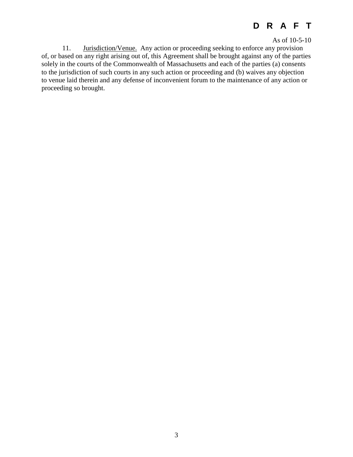As of 10-5-10

11. Jurisdiction/Venue. Any action or proceeding seeking to enforce any provision of, or based on any right arising out of, this Agreement shall be brought against any of the parties solely in the courts of the Commonwealth of Massachusetts and each of the parties (a) consents to the jurisdiction of such courts in any such action or proceeding and (b) waives any objection to venue laid therein and any defense of inconvenient forum to the maintenance of any action or proceeding so brought.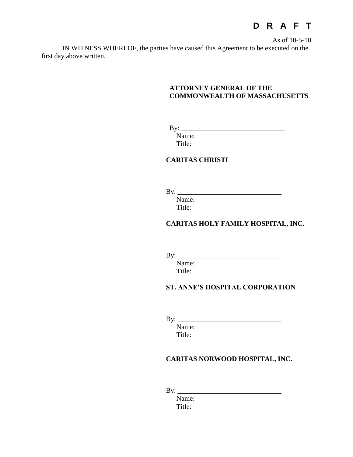As of 10-5-10

IN WITNESS WHEREOF, the parties have caused this Agreement to be executed on the first day above written.

#### **ATTORNEY GENERAL OF THE COMMONWEALTH OF MASSACHUSETTS**

By: \_\_\_\_\_\_\_\_\_\_\_\_\_\_\_\_\_\_\_\_\_\_\_\_\_\_\_\_\_\_

Name: Title:

## **CARITAS CHRISTI**

By: \_\_\_\_\_\_\_\_\_\_\_\_\_\_\_\_\_\_\_\_\_\_\_\_\_\_\_\_\_\_

Name: Title:

### **CARITAS HOLY FAMILY HOSPITAL, INC.**

By: \_\_\_\_\_\_\_\_\_\_\_\_\_\_\_\_\_\_\_\_\_\_\_\_\_\_\_\_\_\_

Name: Title:

#### **ST. ANNE'S HOSPITAL CORPORATION**

By: \_\_\_\_\_\_\_\_\_\_\_\_\_\_\_\_\_\_\_\_\_\_\_\_\_\_\_\_\_\_

Name: Title:

### **CARITAS NORWOOD HOSPITAL, INC.**

By: \_\_\_\_\_\_\_\_\_\_\_\_\_\_\_\_\_\_\_\_\_\_\_\_\_\_\_\_\_\_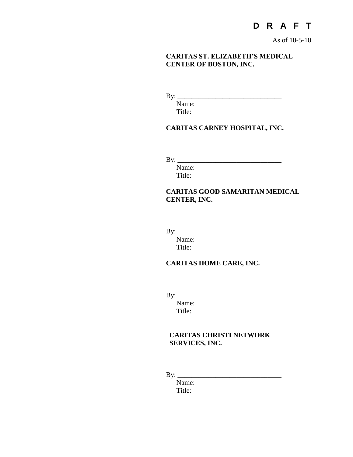As of 10-5-10

#### **CARITAS ST. ELIZABETH'S MEDICAL CENTER OF BOSTON, INC.**

By: \_\_\_\_\_\_\_\_\_\_\_\_\_\_\_\_\_\_\_\_\_\_\_\_\_\_\_\_\_\_

Name: Title:

## **CARITAS CARNEY HOSPITAL, INC.**

By: \_\_\_\_\_\_\_\_\_\_\_\_\_\_\_\_\_\_\_\_\_\_\_\_\_\_\_\_\_\_

Name: Title:

## **CARITAS GOOD SAMARITAN MEDICAL CENTER, INC.**

By: \_\_\_\_\_\_\_\_\_\_\_\_\_\_\_\_\_\_\_\_\_\_\_\_\_\_\_\_\_\_

Name: Title:

## **CARITAS HOME CARE, INC.**

By: \_\_\_\_\_\_\_\_\_\_\_\_\_\_\_\_\_\_\_\_\_\_\_\_\_\_\_\_\_\_

Name: Title:

## **CARITAS CHRISTI NETWORK SERVICES, INC.**

By: \_\_\_\_\_\_\_\_\_\_\_\_\_\_\_\_\_\_\_\_\_\_\_\_\_\_\_\_\_\_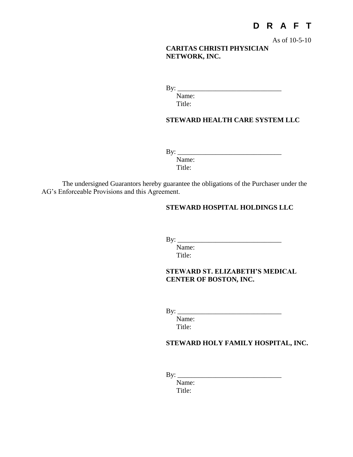As of 10-5-10

## **CARITAS CHRISTI PHYSICIAN NETWORK, INC.**

By: \_\_\_\_\_\_\_\_\_\_\_\_\_\_\_\_\_\_\_\_\_\_\_\_\_\_\_\_\_\_

Name: Title:

#### **STEWARD HEALTH CARE SYSTEM LLC**

By: \_\_\_\_\_\_\_\_\_\_\_\_\_\_\_\_\_\_\_\_\_\_\_\_\_\_\_\_\_\_

Name: Title:

The undersigned Guarantors hereby guarantee the obligations of the Purchaser under the AG's Enforceable Provisions and this Agreement.

### **STEWARD HOSPITAL HOLDINGS LLC**

 $\mathbf{B} \mathbf{y}$ :

Name: Title:

## **STEWARD ST. ELIZABETH'S MEDICAL CENTER OF BOSTON, INC.**

By: \_\_\_\_\_\_\_\_\_\_\_\_\_\_\_\_\_\_\_\_\_\_\_\_\_\_\_\_\_\_

Name: Title:

### **STEWARD HOLY FAMILY HOSPITAL, INC.**

By: \_\_\_\_\_\_\_\_\_\_\_\_\_\_\_\_\_\_\_\_\_\_\_\_\_\_\_\_\_\_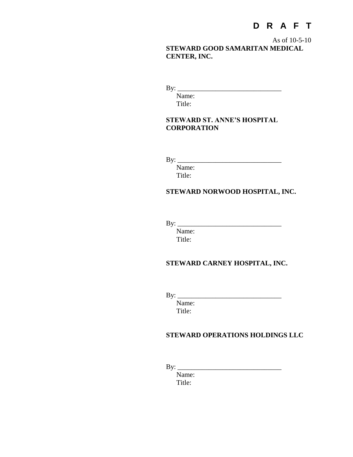As of 10-5-10 **STEWARD GOOD SAMARITAN MEDICAL CENTER, INC.**

By: \_\_\_\_\_\_\_\_\_\_\_\_\_\_\_\_\_\_\_\_\_\_\_\_\_\_\_\_\_\_

Name: Title:

### **STEWARD ST. ANNE'S HOSPITAL CORPORATION**

By: \_\_\_\_\_\_\_\_\_\_\_\_\_\_\_\_\_\_\_\_\_\_\_\_\_\_\_\_\_\_

Name: Title:

## **STEWARD NORWOOD HOSPITAL, INC.**

By: \_\_\_\_\_\_\_\_\_\_\_\_\_\_\_\_\_\_\_\_\_\_\_\_\_\_\_\_\_\_

Name: Title:

## **STEWARD CARNEY HOSPITAL, INC.**

By: \_\_\_\_\_\_\_\_\_\_\_\_\_\_\_\_\_\_\_\_\_\_\_\_\_\_\_\_\_\_

Name: Title:

## **STEWARD OPERATIONS HOLDINGS LLC**

By: \_\_\_\_\_\_\_\_\_\_\_\_\_\_\_\_\_\_\_\_\_\_\_\_\_\_\_\_\_\_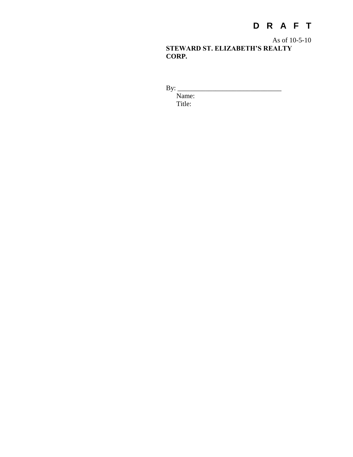As of 10-5-10 **STEWARD ST. ELIZABETH'S REALTY CORP.** 

By: \_\_\_\_\_\_\_\_\_\_\_\_\_\_\_\_\_\_\_\_\_\_\_\_\_\_\_\_\_\_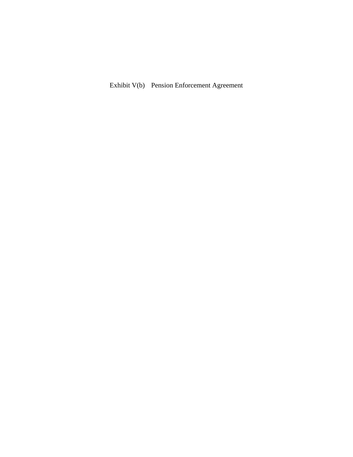Exhibit V(b) Pension Enforcement Agreement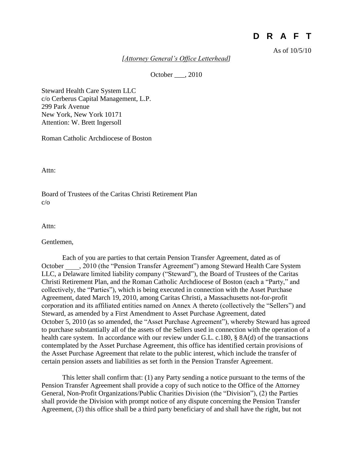As of 10/5/10

*[Attorney General's Office Letterhead]*

October . 2010

Steward Health Care System LLC c/o Cerberus Capital Management, L.P. 299 Park Avenue New York, New York 10171 Attention: W. Brett Ingersoll

Roman Catholic Archdiocese of Boston

Attn:

Board of Trustees of the Caritas Christi Retirement Plan c/o

Attn:

Gentlemen,

Each of you are parties to that certain Pension Transfer Agreement, dated as of October \_\_\_\_, 2010 (the "Pension Transfer Agreement") among Steward Health Care System LLC, a Delaware limited liability company ("Steward"), the Board of Trustees of the Caritas Christi Retirement Plan, and the Roman Catholic Archdiocese of Boston (each a "Party," and collectively, the "Parties"), which is being executed in connection with the Asset Purchase Agreement, dated March 19, 2010, among Caritas Christi, a Massachusetts not-for-profit corporation and its affiliated entities named on Annex A thereto (collectively the "Sellers") and Steward, as amended by a First Amendment to Asset Purchase Agreement, dated October 5, 2010 (as so amended, the "Asset Purchase Agreement"), whereby Steward has agreed to purchase substantially all of the assets of the Sellers used in connection with the operation of a health care system. In accordance with our review under G.L. c.180, § 8A(d) of the transactions contemplated by the Asset Purchase Agreement, this office has identified certain provisions of the Asset Purchase Agreement that relate to the public interest, which include the transfer of certain pension assets and liabilities as set forth in the Pension Transfer Agreement.

This letter shall confirm that: (1) any Party sending a notice pursuant to the terms of the Pension Transfer Agreement shall provide a copy of such notice to the Office of the Attorney General, Non-Profit Organizations/Public Charities Division (the "Division"), (2) the Parties shall provide the Division with prompt notice of any dispute concerning the Pension Transfer Agreement, (3) this office shall be a third party beneficiary of and shall have the right, but not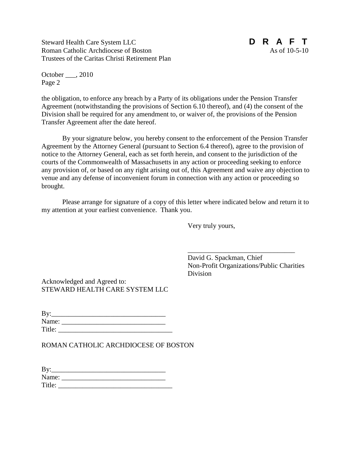Steward Health Care System LLC **D R A F T** Roman Catholic Archdiocese of Boston As of 10-5-10 Trustees of the Caritas Christi Retirement Plan



October \_\_\_, 2010 Page 2

the obligation, to enforce any breach by a Party of its obligations under the Pension Transfer Agreement (notwithstanding the provisions of Section 6.10 thereof), and (4) the consent of the Division shall be required for any amendment to, or waiver of, the provisions of the Pension Transfer Agreement after the date hereof.

By your signature below, you hereby consent to the enforcement of the Pension Transfer Agreement by the Attorney General (pursuant to Section 6.4 thereof), agree to the provision of notice to the Attorney General, each as set forth herein, and consent to the jurisdiction of the courts of the Commonwealth of Massachusetts in any action or proceeding seeking to enforce any provision of, or based on any right arising out of, this Agreement and waive any objection to venue and any defense of inconvenient forum in connection with any action or proceeding so brought.

Please arrange for signature of a copy of this letter where indicated below and return it to my attention at your earliest convenience. Thank you.

Very truly yours,

David G. Spackman, Chief Non-Profit Organizations/Public Charities Division

\_\_\_\_\_\_\_\_\_\_\_\_\_\_\_\_\_\_\_\_\_\_\_\_\_\_\_\_\_\_\_

Acknowledged and Agreed to: STEWARD HEALTH CARE SYSTEM LLC

| By:    |  |
|--------|--|
| Name:  |  |
| Title: |  |

ROMAN CATHOLIC ARCHDIOCESE OF BOSTON

| By:    |  |  |
|--------|--|--|
| Name:  |  |  |
| Title: |  |  |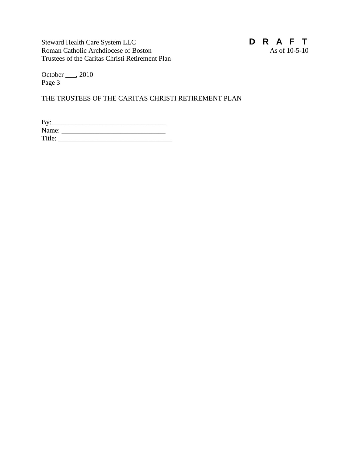Steward Health Care System LLC<br> **D R A F T**<br>
Roman Catholic Archdiocese of Boston<br>
As of 10-5-10 Roman Catholic Archdiocese of Boston Trustees of the Caritas Christi Retirement Plan



October \_\_\_, 2010 Page 3

THE TRUSTEES OF THE CARITAS CHRISTI RETIREMENT PLAN

| By:    |  |  |
|--------|--|--|
| Name:  |  |  |
| Title: |  |  |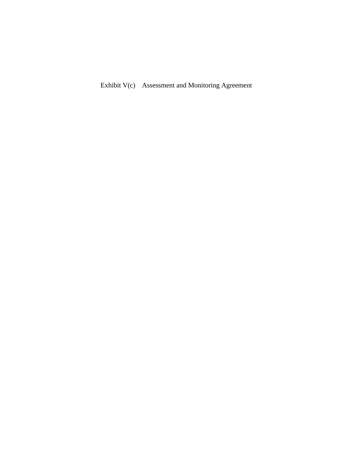Exhibit V(c) Assessment and Monitoring Agreement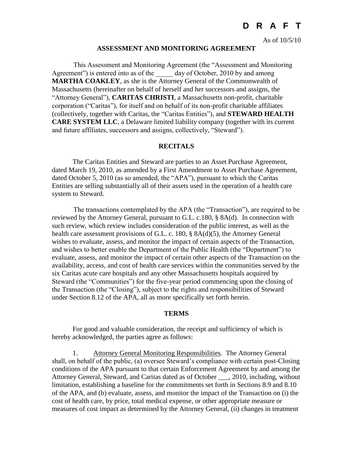As of 10/5/10

#### **ASSESSMENT AND MONITORING AGREEMENT**

This Assessment and Monitoring Agreement (the "Assessment and Monitoring Agreement") is entered into as of the day of October, 2010 by and among **MARTHA COAKLEY**, as she is the Attorney General of the Commonwealth of Massachusetts (hereinafter on behalf of herself and her successors and assigns, the "Attorney General"), **CARITAS CHRISTI**, a Massachusetts non-profit, charitable corporation ("Caritas"), for itself and on behalf of its non-profit charitable affiliates (collectively, together with Caritas, the "Caritas Entities"), and **STEWARD HEALTH CARE SYSTEM LLC**, a Delaware limited liability company (together with its current and future affiliates, successors and assigns, collectively, "Steward").

#### **RECITALS**

The Caritas Entities and Steward are parties to an Asset Purchase Agreement, dated March 19, 2010, as amended by a First Amendment to Asset Purchase Agreement, dated October 5, 2010 (as so amended, the "APA"), pursuant to which the Caritas Entities are selling substantially all of their assets used in the operation of a health care system to Steward.

The transactions contemplated by the APA (the "Transaction"), are required to be reviewed by the Attorney General, pursuant to G.L. c.180, § 8A(d). In connection with such review, which review includes consideration of the public interest, as well as the health care assessment provisions of G.L. c. 180, § 8A(d)(5), the Attorney General wishes to evaluate, assess, and monitor the impact of certain aspects of the Transaction, and wishes to better enable the Department of the Public Health (the "Department") to evaluate, assess, and monitor the impact of certain other aspects of the Transaction on the availability, access, and cost of health care services within the communities served by the six Caritas acute care hospitals and any other Massachusetts hospitals acquired by Steward (the "Communities") for the five-year period commencing upon the closing of the Transaction (the "Closing"), subject to the rights and responsibilities of Steward under Section 8.12 of the APA, all as more specifically set forth herein.

#### **TERMS**

For good and valuable consideration, the receipt and sufficiency of which is hereby acknowledged, the parties agree as follows:

1. Attorney General Monitoring Responsibilities. The Attorney General shall, on behalf of the public, (a) oversee Steward's compliance with certain post-Closing conditions of the APA pursuant to that certain Enforcement Agreement by and among the Attorney General, Steward, and Caritas dated as of October \_\_\_, 2010, including, without limitation, establishing a baseline for the commitments set forth in Sections 8.9 and 8.10 of the APA, and (b) evaluate, assess, and monitor the impact of the Transaction on (i) the cost of health care, by price, total medical expense, or other appropriate measure or measures of cost impact as determined by the Attorney General, (ii) changes in treatment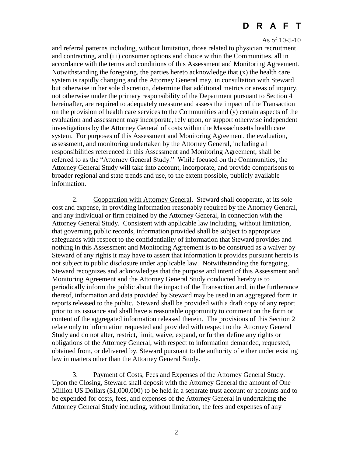#### As of 10-5-10

and referral patterns including, without limitation, those related to physician recruitment and contracting, and (iii) consumer options and choice within the Communities, all in accordance with the terms and conditions of this Assessment and Monitoring Agreement. Notwithstanding the foregoing, the parties hereto acknowledge that  $(x)$  the health care system is rapidly changing and the Attorney General may, in consultation with Steward but otherwise in her sole discretion, determine that additional metrics or areas of inquiry, not otherwise under the primary responsibility of the Department pursuant to Section 4 hereinafter, are required to adequately measure and assess the impact of the Transaction on the provision of health care services to the Communities and (y) certain aspects of the evaluation and assessment may incorporate, rely upon, or support otherwise independent investigations by the Attorney General of costs within the Massachusetts health care system. For purposes of this Assessment and Monitoring Agreement, the evaluation, assessment, and monitoring undertaken by the Attorney General, including all responsibilities referenced in this Assessment and Monitoring Agreement, shall be referred to as the "Attorney General Study." While focused on the Communities, the Attorney General Study will take into account, incorporate, and provide comparisons to broader regional and state trends and use, to the extent possible, publicly available information.

2. Cooperation with Attorney General. Steward shall cooperate, at its sole cost and expense, in providing information reasonably required by the Attorney General, and any individual or firm retained by the Attorney General, in connection with the Attorney General Study. Consistent with applicable law including, without limitation, that governing public records, information provided shall be subject to appropriate safeguards with respect to the confidentiality of information that Steward provides and nothing in this Assessment and Monitoring Agreement is to be construed as a waiver by Steward of any rights it may have to assert that information it provides pursuant hereto is not subject to public disclosure under applicable law. Notwithstanding the foregoing, Steward recognizes and acknowledges that the purpose and intent of this Assessment and Monitoring Agreement and the Attorney General Study conducted hereby is to periodically inform the public about the impact of the Transaction and, in the furtherance thereof, information and data provided by Steward may be used in an aggregated form in reports released to the public. Steward shall be provided with a draft copy of any report prior to its issuance and shall have a reasonable opportunity to comment on the form or content of the aggregated information released therein. The provisions of this Section 2 relate only to information requested and provided with respect to the Attorney General Study and do not alter, restrict, limit, waive, expand, or further define any rights or obligations of the Attorney General, with respect to information demanded, requested, obtained from, or delivered by, Steward pursuant to the authority of either under existing law in matters other than the Attorney General Study.

3. Payment of Costs, Fees and Expenses of the Attorney General Study. Upon the Closing, Steward shall deposit with the Attorney General the amount of One Million US Dollars (\$1,000,000) to be held in a separate trust account or accounts and to be expended for costs, fees, and expenses of the Attorney General in undertaking the Attorney General Study including, without limitation, the fees and expenses of any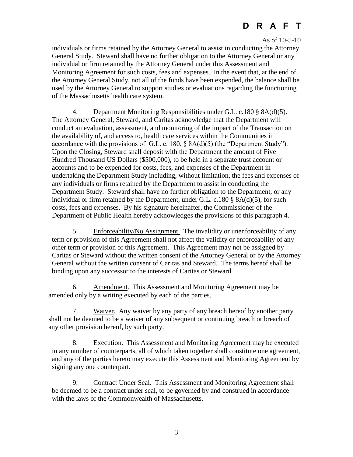#### As of 10-5-10

individuals or firms retained by the Attorney General to assist in conducting the Attorney General Study. Steward shall have no further obligation to the Attorney General or any individual or firm retained by the Attorney General under this Assessment and Monitoring Agreement for such costs, fees and expenses. In the event that, at the end of the Attorney General Study, not all of the funds have been expended, the balance shall be used by the Attorney General to support studies or evaluations regarding the functioning of the Massachusetts health care system.

4. Department Monitoring Responsibilities under G.L. c.180 § 8A(d)(5). The Attorney General, Steward, and Caritas acknowledge that the Department will conduct an evaluation, assessment, and monitoring of the impact of the Transaction on the availability of, and access to, health care services within the Communities in accordance with the provisions of G.L. c. 180, § 8A(d)(5) (the "Department Study"). Upon the Closing, Steward shall deposit with the Department the amount of Five Hundred Thousand US Dollars (\$500,000), to be held in a separate trust account or accounts and to be expended for costs, fees, and expenses of the Department in undertaking the Department Study including, without limitation, the fees and expenses of any individuals or firms retained by the Department to assist in conducting the Department Study. Steward shall have no further obligation to the Department, or any individual or firm retained by the Department, under G.L. c.180 § 8A(d)(5), for such costs, fees and expenses. By his signature hereinafter, the Commissioner of the Department of Public Health hereby acknowledges the provisions of this paragraph 4.

5. Enforceability/No Assignment. The invalidity or unenforceability of any term or provision of this Agreement shall not affect the validity or enforceability of any other term or provision of this Agreement. This Agreement may not be assigned by Caritas or Steward without the written consent of the Attorney General or by the Attorney General without the written consent of Caritas and Steward. The terms hereof shall be binding upon any successor to the interests of Caritas or Steward.

6. Amendment. This Assessment and Monitoring Agreement may be amended only by a writing executed by each of the parties.

7. Waiver. Any waiver by any party of any breach hereof by another party shall not be deemed to be a waiver of any subsequent or continuing breach or breach of any other provision hereof, by such party.

8. Execution. This Assessment and Monitoring Agreement may be executed in any number of counterparts, all of which taken together shall constitute one agreement, and any of the parties hereto may execute this Assessment and Monitoring Agreement by signing any one counterpart.

9. Contract Under Seal. This Assessment and Monitoring Agreement shall be deemed to be a contract under seal, to be governed by and construed in accordance with the laws of the Commonwealth of Massachusetts.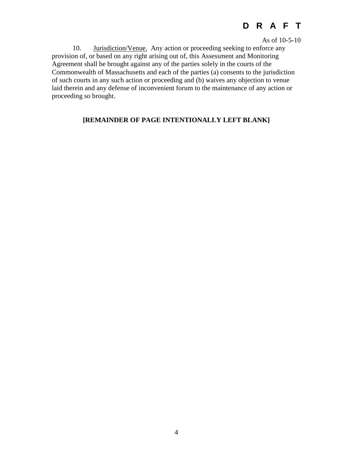As of 10-5-10

10. Jurisdiction/Venue. Any action or proceeding seeking to enforce any provision of, or based on any right arising out of, this Assessment and Monitoring Agreement shall be brought against any of the parties solely in the courts of the Commonwealth of Massachusetts and each of the parties (a) consents to the jurisdiction of such courts in any such action or proceeding and (b) waives any objection to venue laid therein and any defense of inconvenient forum to the maintenance of any action or proceeding so brought.

## **[REMAINDER OF PAGE INTENTIONALLY LEFT BLANK]**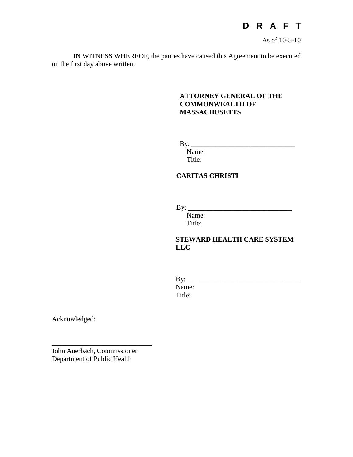

As of 10-5-10

IN WITNESS WHEREOF, the parties have caused this Agreement to be executed on the first day above written.

### **ATTORNEY GENERAL OF THE COMMONWEALTH OF MASSACHUSETTS**

 $\mathbf{By:}$ 

Name: Title:

## **CARITAS CHRISTI**

By: \_\_\_\_\_\_\_\_\_\_\_\_\_\_\_\_\_\_\_\_\_\_\_\_\_\_\_\_\_\_

Name: Title:

## **STEWARD HEALTH CARE SYSTEM LLC**

By:\_\_\_\_\_\_\_\_\_\_\_\_\_\_\_\_\_\_\_\_\_\_\_\_\_\_\_\_\_\_\_\_\_ Name: Title:

Acknowledged:

John Auerbach, Commissioner Department of Public Health

\_\_\_\_\_\_\_\_\_\_\_\_\_\_\_\_\_\_\_\_\_\_\_\_\_\_\_\_\_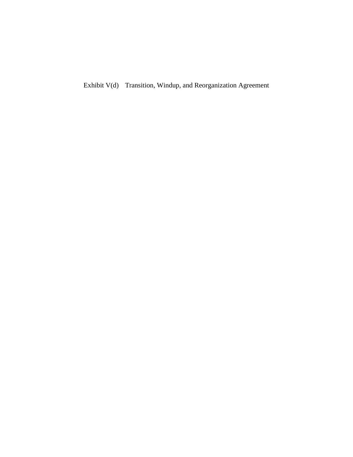Exhibit V(d) Transition, Windup, and Reorganization Agreement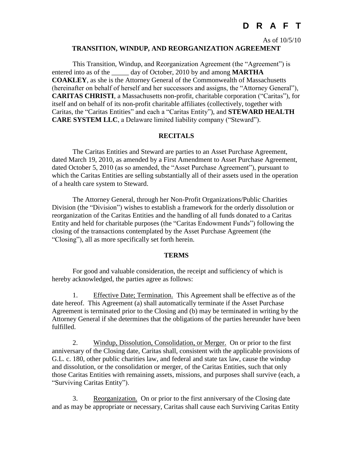As of 10/5/10

#### **TRANSITION, WINDUP, AND REORGANIZATION AGREEMENT**

This Transition, Windup, and Reorganization Agreement (the "Agreement") is entered into as of the day of October, 2010 by and among **MARTHA COAKLEY**, as she is the Attorney General of the Commonwealth of Massachusetts (hereinafter on behalf of herself and her successors and assigns, the "Attorney General"), **CARITAS CHRISTI**, a Massachusetts non-profit, charitable corporation ("Caritas"), for itself and on behalf of its non-profit charitable affiliates (collectively, together with Caritas, the "Caritas Entities" and each a "Caritas Entity"), and **STEWARD HEALTH CARE SYSTEM LLC**, a Delaware limited liability company ("Steward").

#### **RECITALS**

The Caritas Entities and Steward are parties to an Asset Purchase Agreement, dated March 19, 2010, as amended by a First Amendment to Asset Purchase Agreement, dated October 5, 2010 (as so amended, the "Asset Purchase Agreement"), pursuant to which the Caritas Entities are selling substantially all of their assets used in the operation of a health care system to Steward.

The Attorney General, through her Non-Profit Organizations/Public Charities Division (the "Division") wishes to establish a framework for the orderly dissolution or reorganization of the Caritas Entities and the handling of all funds donated to a Caritas Entity and held for charitable purposes (the "Caritas Endowment Funds") following the closing of the transactions contemplated by the Asset Purchase Agreement (the "Closing"), all as more specifically set forth herein.

#### **TERMS**

For good and valuable consideration, the receipt and sufficiency of which is hereby acknowledged, the parties agree as follows:

1. Effective Date; Termination. This Agreement shall be effective as of the date hereof. This Agreement (a) shall automatically terminate if the Asset Purchase Agreement is terminated prior to the Closing and (b) may be terminated in writing by the Attorney General if she determines that the obligations of the parties hereunder have been fulfilled.

2. Windup, Dissolution, Consolidation, or Merger. On or prior to the first anniversary of the Closing date, Caritas shall, consistent with the applicable provisions of G.L. c. 180, other public charities law, and federal and state tax law, cause the windup and dissolution, or the consolidation or merger, of the Caritas Entities, such that only those Caritas Entities with remaining assets, missions, and purposes shall survive (each, a "Surviving Caritas Entity").

3. Reorganization. On or prior to the first anniversary of the Closing date and as may be appropriate or necessary, Caritas shall cause each Surviving Caritas Entity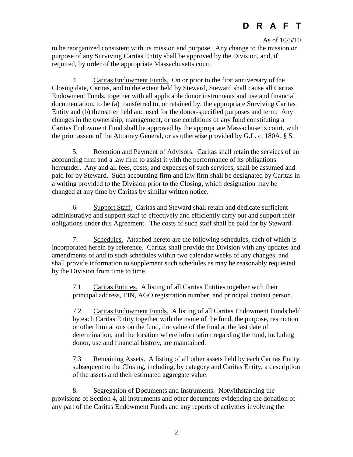As of 10/5/10

to be reorganized consistent with its mission and purpose. Any change to the mission or purpose of any Surviving Caritas Entity shall be approved by the Division, and, if required, by order of the appropriate Massachusetts court.

4. Caritas Endowment Funds. On or prior to the first anniversary of the Closing date, Caritas, and to the extent held by Steward, Steward shall cause all Caritas Endowment Funds, together with all applicable donor instruments and use and financial documentation, to be (a) transferred to, or retained by, the appropriate Surviving Caritas Entity and (b) thereafter held and used for the donor-specified purposes and term. Any changes in the ownership, management, or use conditions of any fund constituting a Caritas Endowment Fund shall be approved by the appropriate Massachusetts court, with the prior assent of the Attorney General, or as otherwise provided by G.L. c. 180A, § 5.

5. Retention and Payment of Advisors. Caritas shall retain the services of an accounting firm and a law firm to assist it with the performance of its obligations hereunder. Any and all fees, costs, and expenses of such services, shall be assumed and paid for by Steward. Such accounting firm and law firm shall be designated by Caritas in a writing provided to the Division prior to the Closing, which designation may be changed at any time by Caritas by similar written notice.

6. Support Staff. Caritas and Steward shall retain and dedicate sufficient administrative and support staff to effectively and efficiently carry out and support their obligations under this Agreement. The costs of such staff shall be paid for by Steward.

7. Schedules. Attached hereto are the following schedules, each of which is incorporated herein by reference. Caritas shall provide the Division with any updates and amendments of and to such schedules within two calendar weeks of any changes, and shall provide information to supplement such schedules as may be reasonably requested by the Division from time to time.

7.1 Caritas Entities. A listing of all Caritas Entities together with their principal address, EIN, AGO registration number, and principal contact person.

7.2 Caritas Endowment Funds. A listing of all Caritas Endowment Funds held by each Caritas Entity together with the name of the fund, the purpose, restriction or other limitations on the fund, the value of the fund at the last date of determination, and the location where information regarding the fund, including donor, use and financial history, are maintained.

7.3 Remaining Assets. A listing of all other assets held by each Caritas Entity subsequent to the Closing, including, by category and Caritas Entity, a description of the assets and their estimated aggregate value.

8. Segregation of Documents and Instruments. Notwithstanding the provisions of Section 4, all instruments and other documents evidencing the donation of any part of the Caritas Endowment Funds and any reports of activities involving the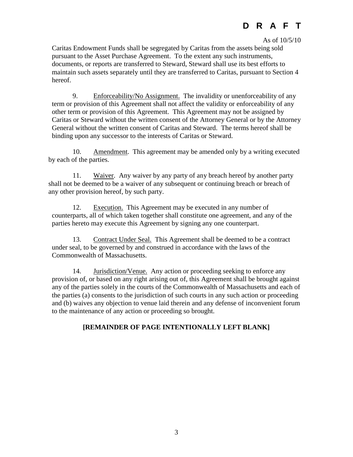#### As of 10/5/10

Caritas Endowment Funds shall be segregated by Caritas from the assets being sold pursuant to the Asset Purchase Agreement. To the extent any such instruments, documents, or reports are transferred to Steward, Steward shall use its best efforts to maintain such assets separately until they are transferred to Caritas, pursuant to Section 4 hereof.

9. Enforceability/No Assignment. The invalidity or unenforceability of any term or provision of this Agreement shall not affect the validity or enforceability of any other term or provision of this Agreement. This Agreement may not be assigned by Caritas or Steward without the written consent of the Attorney General or by the Attorney General without the written consent of Caritas and Steward. The terms hereof shall be binding upon any successor to the interests of Caritas or Steward.

10. Amendment. This agreement may be amended only by a writing executed by each of the parties.

11. Waiver. Any waiver by any party of any breach hereof by another party shall not be deemed to be a waiver of any subsequent or continuing breach or breach of any other provision hereof, by such party.

12. Execution. This Agreement may be executed in any number of counterparts, all of which taken together shall constitute one agreement, and any of the parties hereto may execute this Agreement by signing any one counterpart.

13. Contract Under Seal. This Agreement shall be deemed to be a contract under seal, to be governed by and construed in accordance with the laws of the Commonwealth of Massachusetts.

14. Jurisdiction/Venue. Any action or proceeding seeking to enforce any provision of, or based on any right arising out of, this Agreement shall be brought against any of the parties solely in the courts of the Commonwealth of Massachusetts and each of the parties (a) consents to the jurisdiction of such courts in any such action or proceeding and (b) waives any objection to venue laid therein and any defense of inconvenient forum to the maintenance of any action or proceeding so brought.

### **[REMAINDER OF PAGE INTENTIONALLY LEFT BLANK]**